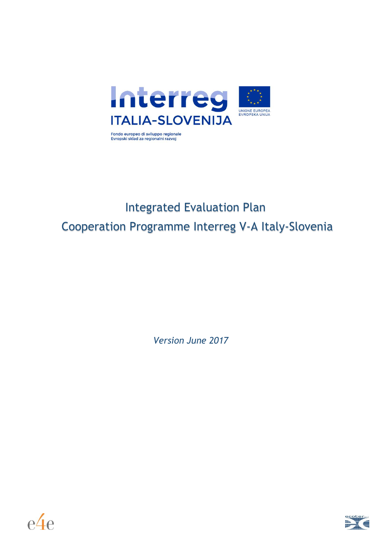

# Integrated Evaluation Plan Cooperation Programme Interreg V-A Italy-Slovenia

*Version June 2017*



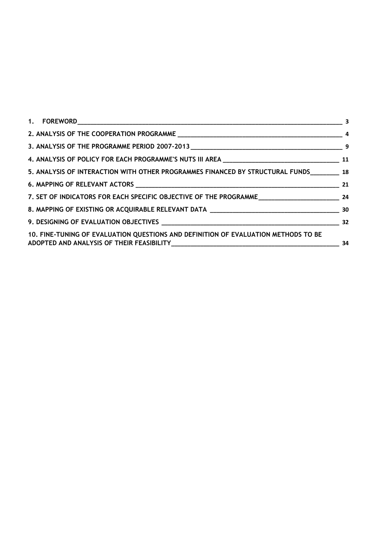| 5. ANALYSIS OF INTERACTION WITH OTHER PROGRAMMES FINANCED BY STRUCTURAL FUNDS 18   |     |
|------------------------------------------------------------------------------------|-----|
|                                                                                    |     |
|                                                                                    |     |
|                                                                                    |     |
|                                                                                    |     |
| 10. FINE-TUNING OF EVALUATION QUESTIONS AND DEFINITION OF EVALUATION METHODS TO BE | -34 |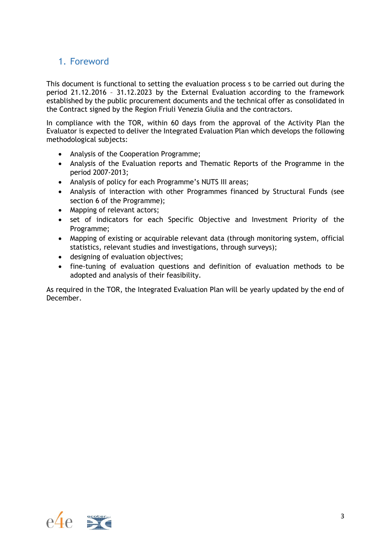# <span id="page-2-0"></span>1. Foreword

This document is functional to setting the evaluation process s to be carried out during the period 21.12.2016 – 31.12.2023 by the External Evaluation according to the framework established by the public procurement documents and the technical offer as consolidated in the Contract signed by the Region Friuli Venezia Giulia and the contractors.

In compliance with the TOR, within 60 days from the approval of the Activity Plan the Evaluator is expected to deliver the Integrated Evaluation Plan which develops the following methodological subjects:

- Analysis of the Cooperation Programme;
- Analysis of the Evaluation reports and Thematic Reports of the Programme in the period 2007-2013;
- Analysis of policy for each Programme's NUTS III areas;
- Analysis of interaction with other Programmes financed by Structural Funds (see section 6 of the Programme);
- Mapping of relevant actors;
- set of indicators for each Specific Objective and Investment Priority of the Programme;
- Mapping of existing or acquirable relevant data (through monitoring system, official statistics, relevant studies and investigations, through surveys);
- designing of evaluation objectives;
- fine-tuning of evaluation questions and definition of evaluation methods to be adopted and analysis of their feasibility.

As required in the TOR, the Integrated Evaluation Plan will be yearly updated by the end of December.

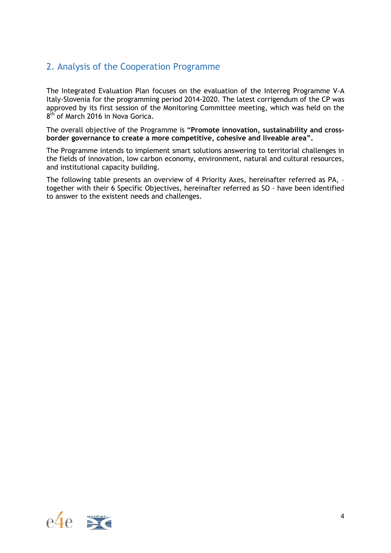# <span id="page-3-0"></span>2. Analysis of the Cooperation Programme

The Integrated Evaluation Plan focuses on the evaluation of the Interreg Programme V-A Italy-Slovenia for the programming period 2014-2020. The latest corrigendum of the CP was approved by its first session of the Monitoring Committee meeting, which was held on the 8<sup>th</sup> of March 2016 in Nova Gorica.

The overall objective of the Programme is "**Promote innovation, sustainability and crossborder governance to create a more competitive, cohesive and liveable area".**

The Programme intends to implement smart solutions answering to territorial challenges in the fields of innovation, low carbon economy, environment, natural and cultural resources, and institutional capacity building.

The following table presents an overview of 4 Priority Axes, hereinafter referred as PA, – together with their 6 Specific Objectives, hereinafter referred as SO - have been identified to answer to the existent needs and challenges.

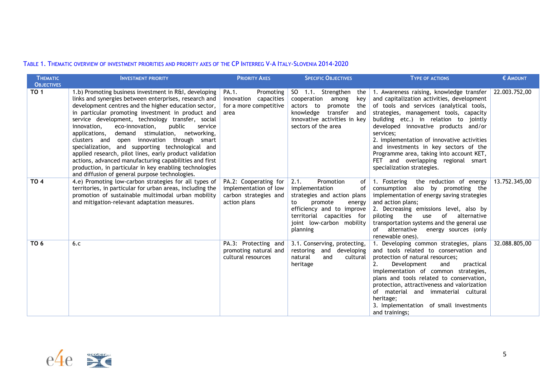#### TABLE 1. THEMATIC OVERVIEW OF INVESTMENT PRIORITIES AND PRIORITY AXES OF THE CP INTERREG V-A ITALY-SLOVENIA 2014-2020

| <b>THEMATIC</b>   | <b>INVESTMENT PRIORITY</b>                                                                                                                                                                                                                                                                                                                                                                                                                                                                                                                                                                                                                                                                                                          | <b>PRIORITY AXES</b>                                                                    | <b>SPECIFIC OBJECTIVES</b>                                                                                                                                                                                    | <b>TYPE OF ACTIONS</b>                                                                                                                                                                                                                                                                                                                                                                                                                                                            | € AMOUNT      |
|-------------------|-------------------------------------------------------------------------------------------------------------------------------------------------------------------------------------------------------------------------------------------------------------------------------------------------------------------------------------------------------------------------------------------------------------------------------------------------------------------------------------------------------------------------------------------------------------------------------------------------------------------------------------------------------------------------------------------------------------------------------------|-----------------------------------------------------------------------------------------|---------------------------------------------------------------------------------------------------------------------------------------------------------------------------------------------------------------|-----------------------------------------------------------------------------------------------------------------------------------------------------------------------------------------------------------------------------------------------------------------------------------------------------------------------------------------------------------------------------------------------------------------------------------------------------------------------------------|---------------|
| <b>OBJECTIVES</b> |                                                                                                                                                                                                                                                                                                                                                                                                                                                                                                                                                                                                                                                                                                                                     |                                                                                         |                                                                                                                                                                                                               |                                                                                                                                                                                                                                                                                                                                                                                                                                                                                   |               |
| <b>TO 1</b>       | 1.b) Promoting business investment in R&I, developing<br>links and synergies between enterprises, research and<br>development centres and the higher education sector,<br>in particular promoting investment in product and<br>service development, technology transfer, social<br>eco-innovation.<br>public<br>innovation.<br>service<br>stimulation,<br>networking,<br>applications,<br>demand<br>clusters and open innovation through smart<br>specialization, and supporting technological and<br>applied research, pilot lines, early product validation<br>actions, advanced manufacturing capabilities and first<br>production, in particular in key enabling technologies<br>and diffusion of general purpose technologies. | PA.1.<br>Promoting<br>innovation<br>capacities<br>for a more competitive<br>area        | SO 1.1. Strengthen<br>the  <br>cooperation<br>among<br>key<br>actors to<br>promote<br>the<br>transfer<br>knowledge<br>and<br>innovative activities in key<br>sectors of the area                              | 1. Awareness raising, knowledge transfer<br>and capitalization activities, development<br>of tools and services (analytical tools,<br>strategies, management tools, capacity<br>building etc.) in relation to jointly<br>developed innovative products and/or<br>services:<br>2. implementation of innovative activities<br>and investments in key sectors of the<br>Programme area, taking into account KET,<br>FET and overlapping regional smart<br>specialization strategies. | 22.003.752,00 |
| <b>TO 4</b>       | 4.e) Promoting low-carbon strategies for all types of<br>territories, in particular for urban areas, including the<br>promotion of sustainable multimodal urban mobility<br>and mitigation-relevant adaptation measures.                                                                                                                                                                                                                                                                                                                                                                                                                                                                                                            | PA.2: Cooperating for<br>implementation of low<br>carbon strategies and<br>action plans | 2.1.<br>Promotion<br>οf<br>implementation<br>οf<br>strategies and action plans<br>to<br>promote<br>energy<br>efficiency and to improve<br>territorial capacities for<br>joint low-carbon mobility<br>planning | 1. Fostering the reduction of energy<br>consumption also by promoting the<br>implementation of energy saving strategies<br>and action plans;<br>2. Decreasing emissions level, also by<br>of<br>alternative<br>piloting<br>the<br>use<br>transportation systems and the general use<br>of alternative<br>energy sources (only<br>renewable ones).                                                                                                                                 | 13.752.345,00 |
| TO 6              | 6.c                                                                                                                                                                                                                                                                                                                                                                                                                                                                                                                                                                                                                                                                                                                                 | PA.3: Protecting and<br>promoting natural and<br>cultural resources                     | 3.1. Conserving, protecting,<br>restoring and developing<br>natural<br>and<br>cultural<br>heritage                                                                                                            | 1. Developing common strategies, plans<br>and tools related to conservation and<br>protection of natural resources;<br>2.<br>Development<br>and<br>practical<br>implementation of common strategies,<br>plans and tools related to conservation,<br>protection, attractiveness and valorization<br>of material and immaterial cultural<br>heritage;<br>3. Implementation of small investments<br>and trainings;                                                                   | 32.088.805,00 |

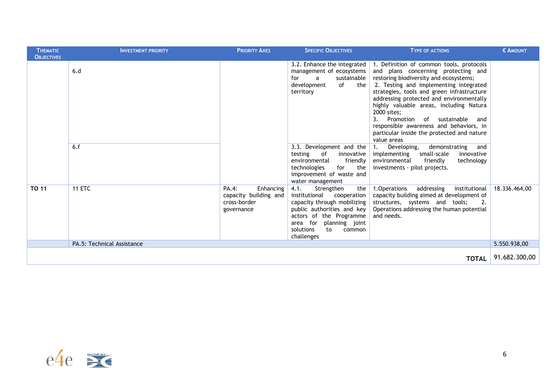| <b>THEMATIC</b><br><b>OBJECTIVES</b> | <b>INVESTMENT PRIORITY</b> | <b>PRIORITY AXES</b>                                                      | <b>SPECIFIC OBJECTIVES</b>                                                                                                                                                                                                  | <b>TYPE OF ACTIONS</b>                                                                                                                                                                                                                                                                                                                                                                                                                                                      | € AMOUNT      |
|--------------------------------------|----------------------------|---------------------------------------------------------------------------|-----------------------------------------------------------------------------------------------------------------------------------------------------------------------------------------------------------------------------|-----------------------------------------------------------------------------------------------------------------------------------------------------------------------------------------------------------------------------------------------------------------------------------------------------------------------------------------------------------------------------------------------------------------------------------------------------------------------------|---------------|
|                                      | 6.d                        |                                                                           | 3.2. Enhance the integrated<br>management of ecosystems<br>sustainable<br>for<br>$\overline{a}$<br>development<br>of the<br>territory                                                                                       | 1. Definition of common tools, protocols<br>and plans concerning protecting and<br>restoring biodiversity and ecosystems;<br>2. Testing and implementing integrated<br>strategies, tools and green infrastructure<br>addressing protected and environmentally<br>highly valuable areas, including Natura<br>2000 sites;<br>Promotion<br>3.<br>of sustainable<br>and<br>responsible awareness and behaviors, in<br>particular inside the protected and nature<br>value areas |               |
|                                      | 6.f                        |                                                                           | 3.3. Development and the<br>testing<br>of<br>innovative<br>friendly<br>environmental<br>for<br>technologies<br>the<br>improvement of waste and<br>water management                                                          | Developing,<br>demonstrating<br>$\mathbf{1}$ .<br>and<br>small-scale<br>innovative<br>implementing<br>environmental<br>friendly<br>technology<br>investments - pilot projects.                                                                                                                                                                                                                                                                                              |               |
| <b>TO 11</b>                         | <b>11 ETC</b>              | PA.4:<br>Enhancing<br>capacity building and<br>cross-border<br>governance | 4.1.<br>Strengthen<br>the $ $<br>institutional<br>cooperation<br>capacity through mobilizing<br>public authorities and key<br>actors of the Programme<br>area for planning joint<br>solutions<br>common<br>to<br>challenges | 1. Operations<br>addressing<br>institutional<br>capacity building aimed at development of<br>structures, systems and tools;<br>2.<br>Operations addressing the human potential<br>and needs.                                                                                                                                                                                                                                                                                | 18.336.464,00 |
|                                      | PA.5: Technical Assistance |                                                                           |                                                                                                                                                                                                                             |                                                                                                                                                                                                                                                                                                                                                                                                                                                                             | 5.550.938,00  |
|                                      |                            |                                                                           |                                                                                                                                                                                                                             | <b>TOTAL</b>                                                                                                                                                                                                                                                                                                                                                                                                                                                                | 91.682.300,00 |

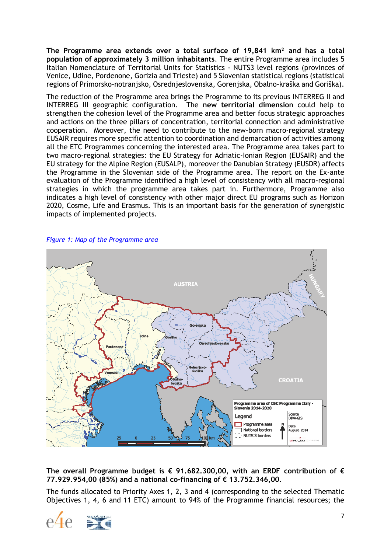**The Programme area extends over a total surface of 19,841 km² and has a total population of approximately 3 million inhabitants**. The entire Programme area includes 5 Italian Nomenclature of Territorial Units for Statistics - NUTS3 level regions (provinces of Venice, Udine, Pordenone, Gorizia and Trieste) and 5 Slovenian statistical regions (statistical regions of Primorsko-notranjsko, Osrednjeslovenska, Gorenjska, Obalno-kraška and Goriška).

The reduction of the Programme area brings the Programme to its previous INTERREG II and INTERREG III geographic configuration. The **new territorial dimension** could help to strengthen the cohesion level of the Programme area and better focus strategic approaches and actions on the three pillars of concentration, territorial connection and administrative cooperation. Moreover, the need to contribute to the new-born macro-regional strategy EUSAIR requires more specific attention to coordination and demarcation of activities among all the ETC Programmes concerning the interested area. The Programme area takes part to two macro-regional strategies: the EU Strategy for Adriatic-Ionian Region (EUSAIR) and the EU strategy for the Alpine Region (EUSALP), moreover the Danubian Strategy (EUSDR) affects the Programme in the Slovenian side of the Programme area. The report on the Ex-ante evaluation of the Programme identified a high level of consistency with all macro-regional strategies in which the programme area takes part in. Furthermore, Programme also indicates a high level of consistency with other major direct EU programs such as Horizon 2020, Cosme, Life and Erasmus. This is an important basis for the generation of synergistic impacts of implemented projects.





#### **The overall Programme budget is € 91.682.300,00, with an ERDF contribution of € 77.929.954,00 (85%) and a national co-financing of € 13.752.346,00**.

The funds allocated to Priority Axes 1, 2, 3 and 4 (corresponding to the selected Thematic Objectives 1, 4, 6 and 11 ETC) amount to 94% of the Programme financial resources; the

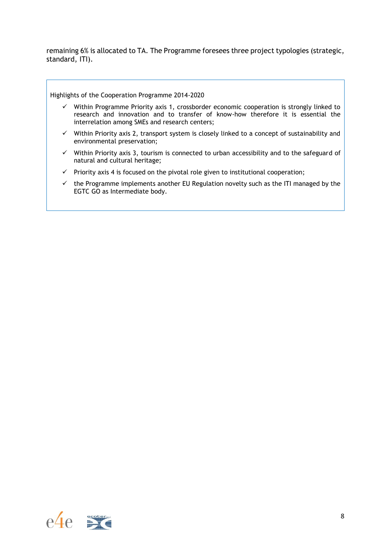remaining 6% is allocated to TA. The Programme foresees three project typologies (strategic, standard, ITI).

Highlights of the Cooperation Programme 2014-2020

- $\checkmark$  Within Programme Priority axis 1, crossborder economic cooperation is strongly linked to research and innovation and to transfer of know-how therefore it is essential the interrelation among SMEs and research centers;
- ✓ Within Priority axis 2, transport system is closely linked to a concept of sustainability and environmental preservation;
- $\checkmark$  Within Priority axis 3, tourism is connected to urban accessibility and to the safeguard of natural and cultural heritage;
- $\checkmark$  Priority axis 4 is focused on the pivotal role given to institutional cooperation;
- $\checkmark$  the Programme implements another EU Regulation novelty such as the ITI managed by the EGTC GO as Intermediate body.

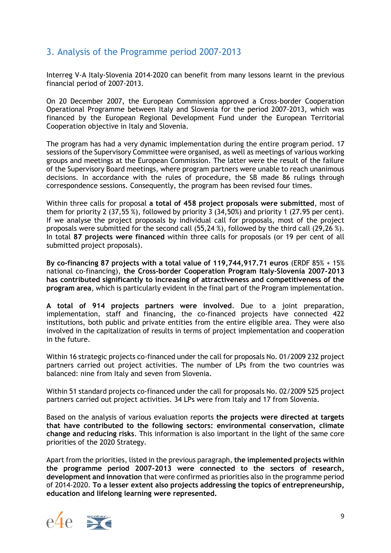# <span id="page-8-0"></span>3. Analysis of the Programme period 2007-2013

Interreg V-A Italy-Slovenia 2014-2020 can benefit from many lessons learnt in the previous financial period of 2007-2013.

On 20 December 2007, the European Commission approved a Cross-border Cooperation Operational Programme between Italy and Slovenia for the period 2007-2013, which was financed by the European Regional Development Fund under the European Territorial Cooperation objective in Italy and Slovenia.

The program has had a very dynamic implementation during the entire program period. 17 sessions of the Supervisory Committee were organised, as well as meetings of various working groups and meetings at the European Commission. The latter were the result of the failure of the Supervisory Board meetings, where program partners were unable to reach unanimous decisions. In accordance with the rules of procedure, the SB made 86 rulings through correspondence sessions. Consequently, the program has been revised four times.

Within three calls for proposal **a total of 458 project proposals were submitted**, most of them for priority 2 (37,55 %), followed by priority 3 (34,50%) and priority 1 (27.95 per cent). If we analyse the project proposals by individual call for proposals, most of the project proposals were submitted for the second call (55,24 %), followed by the third call (29,26 %). In total **87 projects were financed** within three calls for proposals (or 19 per cent of all submitted project proposals).

**By co-financing 87 projects with a total value of 119,744,917.71 euros** (ERDF 85% + 15% national co-financing), **the Cross-border Cooperation Program Italy-Slovenia 2007-2013 has contributed significantly to increasing of attractiveness and competitiveness of the program area**, which is particularly evident in the final part of the Program implementation.

**A total of 914 projects partners were involved**. Due to a joint preparation, implementation, staff and financing, the co-financed projects have connected 422 institutions, both public and private entities from the entire eligible area. They were also involved in the capitalization of results in terms of project implementation and cooperation in the future.

Within 16 strategic projects co-financed under the call for proposals No. 01/2009 232 project partners carried out project activities. The number of LPs from the two countries was balanced: nine from Italy and seven from Slovenia.

Within 51 standard projects co-financed under the call for proposals No. 02/2009 525 project partners carried out project activities. 34 LPs were from Italy and 17 from Slovenia.

Based on the analysis of various evaluation reports **the projects were directed at targets that have contributed to the following sectors: environmental conservation, climate change and reducing risks**. This information is also important in the light of the same core priorities of the 2020 Strategy.

Apart from the priorities, listed in the previous paragraph, **the implemented projects within the programme period 2007-2013 were connected to the sectors of research, development and innovation** that were confirmed as priorities also in the programme period of 2014-2020. **To a lesser extent also projects addressing the topics of entrepreneurship, education and lifelong learning were represented.**

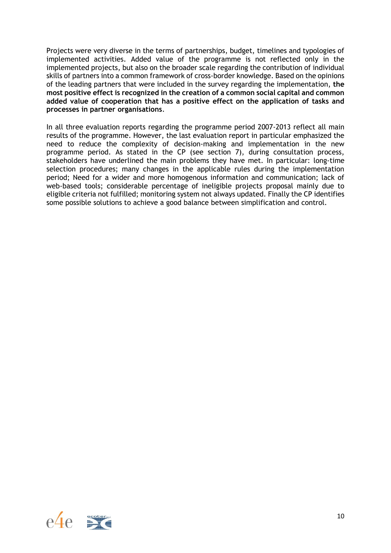Projects were very diverse in the terms of partnerships, budget, timelines and typologies of implemented activities. Added value of the programme is not reflected only in the implemented projects, but also on the broader scale regarding the contribution of individual skills of partners into a common framework of cross-border knowledge. Based on the opinions of the leading partners that were included in the survey regarding the implementation, **the most positive effect is recognized in the creation of a common social capital and common added value of cooperation that has a positive effect on the application of tasks and processes in partner organisations**.

In all three evaluation reports regarding the programme period 2007-2013 reflect all main results of the programme. However, the last evaluation report in particular emphasized the need to reduce the complexity of decision-making and implementation in the new programme period. As stated in the CP (see section 7), during consultation process, stakeholders have underlined the main problems they have met. In particular: long-time selection procedures; many changes in the applicable rules during the implementation period; Need for a wider and more homogenous information and communication; lack of web-based tools; considerable percentage of ineligible projects proposal mainly due to eligible criteria not fulfilled; monitoring system not always updated. Finally the CP identifies some possible solutions to achieve a good balance between simplification and control.

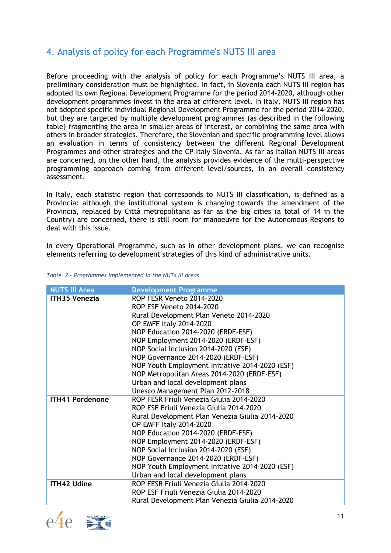# <span id="page-10-0"></span>4. Analysis of policy for each Programme's NUTS III area

Before proceeding with the analysis of policy for each Programme's NUTS III area, a preliminary consideration must be highlighted. In fact, in Slovenia each NUTS III region has adopted its own Regional Development Programme for the period 2014-2020, although other development programmes invest in the area at different level. In Italy, NUTS III region has not adopted specific individual Regional Development Programme for the period 2014-2020, but they are targeted by multiple development programmes (as described in the following table) fragmenting the area in smaller areas of interest, or combining the same area with others in broader strategies. Therefore, the Slovenian and specific programming level allows an evaluation in terms of consistency between the different Regional Development Programmes and other strategies and the CP Italy-Slovenia. As far as Italian NUTS III areas are concerned, on the other hand, the analysis provides evidence of the multi-perspective programming approach coming from different level/sources, in an overall consistency assessment.

In Italy, each statistic region that corresponds to NUTS III classification, is defined as a Provincia: although the institutional system is changing towards the amendment of the Provincia, replaced by Città metropolitana as far as the big cities (a total of 14 in the Country) are concerned, there is still room for manoeuvre for the Autonomous Regions to deal with this issue.

In every Operational Programme, such as in other development plans, we can recognise elements referring to development strategies of this kind of administrative units.

| <b>NUTS III Area</b>   | <b>Development Programme</b>                    |
|------------------------|-------------------------------------------------|
| <b>ITH35 Venezia</b>   | ROP FESR Veneto 2014-2020                       |
|                        | <b>ROP ESF Veneto 2014-2020</b>                 |
|                        | Rural Development Plan Veneto 2014-2020         |
|                        | OP EMFF Italy 2014-2020                         |
|                        | NOP Education 2014-2020 (ERDF-ESF)              |
|                        | NOP Employment 2014-2020 (ERDF-ESF)             |
|                        | NOP Social Inclusion 2014-2020 (ESF)            |
|                        | NOP Governance 2014-2020 (ERDF-ESF)             |
|                        | NOP Youth Employment Initiative 2014-2020 (ESF) |
|                        | NOP Metropolitan Areas 2014-2020 (ERDF-ESF)     |
|                        | Urban and local development plans               |
|                        | Unesco Management Plan 2012-2018                |
| <b>ITH41 Pordenone</b> | ROP FESR Friuli Venezia Giulia 2014-2020        |
|                        | ROP ESF Friuli Venezia Giulia 2014-2020         |
|                        | Rural Development Plan Venezia Giulia 2014-2020 |
|                        | OP EMFF Italy 2014-2020                         |
|                        | NOP Education 2014-2020 (ERDF-ESF)              |
|                        | NOP Employment 2014-2020 (ERDF-ESF)             |
|                        | NOP Social Inclusion 2014-2020 (ESF)            |
|                        | NOP Governance 2014-2020 (ERDF-ESF)             |
|                        | NOP Youth Employment Initiative 2014-2020 (ESF) |
|                        | Urban and local development plans               |
| <b>ITH42 Udine</b>     | ROP FESR Friuli Venezia Giulia 2014-2020        |
|                        | ROP ESF Friuli Venezia Giulia 2014-2020         |
|                        | Rural Development Plan Venezia Giulia 2014-2020 |

#### *Table 2 – Programmes implemented in the NUTs III areas*



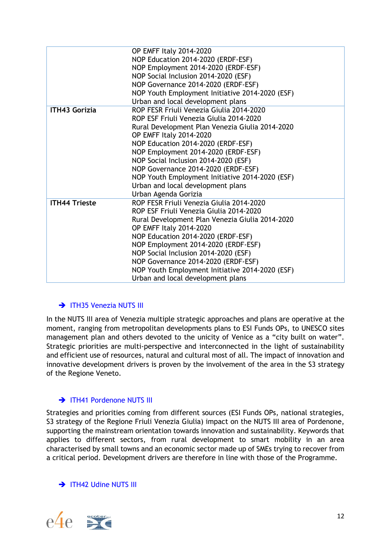|                      | OP EMFF Italy 2014-2020<br>NOP Education 2014-2020 (ERDF-ESF)<br>NOP Employment 2014-2020 (ERDF-ESF)<br>NOP Social Inclusion 2014-2020 (ESF)<br>NOP Governance 2014-2020 (ERDF-ESF)<br>NOP Youth Employment Initiative 2014-2020 (ESF)<br>Urban and local development plans                                                                                                                                                                   |
|----------------------|-----------------------------------------------------------------------------------------------------------------------------------------------------------------------------------------------------------------------------------------------------------------------------------------------------------------------------------------------------------------------------------------------------------------------------------------------|
| <b>ITH43 Gorizia</b> | ROP FESR Friuli Venezia Giulia 2014-2020<br>ROP ESF Friuli Venezia Giulia 2014-2020<br>Rural Development Plan Venezia Giulia 2014-2020<br>OP EMFF Italy 2014-2020<br>NOP Education 2014-2020 (ERDF-ESF)<br>NOP Employment 2014-2020 (ERDF-ESF)<br>NOP Social Inclusion 2014-2020 (ESF)<br>NOP Governance 2014-2020 (ERDF-ESF)<br>NOP Youth Employment Initiative 2014-2020 (ESF)<br>Urban and local development plans<br>Urban Agenda Gorizia |
| <b>ITH44 Trieste</b> | ROP FESR Friuli Venezia Giulia 2014-2020<br>ROP ESF Friuli Venezia Giulia 2014-2020<br>Rural Development Plan Venezia Giulia 2014-2020<br>OP EMFF Italy 2014-2020<br>NOP Education 2014-2020 (ERDF-ESF)<br>NOP Employment 2014-2020 (ERDF-ESF)<br>NOP Social Inclusion 2014-2020 (ESF)<br>NOP Governance 2014-2020 (ERDF-ESF)<br>NOP Youth Employment Initiative 2014-2020 (ESF)<br>Urban and local development plans                         |

### → ITH35 Venezia NUTS III

In the NUTS III area of Venezia multiple strategic approaches and plans are operative at the moment, ranging from metropolitan developments plans to ESI Funds OPs, to UNESCO sites management plan and others devoted to the unicity of Venice as a "city built on water". Strategic priorities are multi-perspective and interconnected in the light of sustainability and efficient use of resources, natural and cultural most of all. The impact of innovation and innovative development drivers is proven by the involvement of the area in the S3 strategy of the Regione Veneto.

### $\rightarrow$  ITH41 Pordenone NUTS III

Strategies and priorities coming from different sources (ESI Funds OPs, national strategies, S3 strategy of the Regione Friuli Venezia Giulia) impact on the NUTS III area of Pordenone, supporting the mainstream orientation towards innovation and sustainability. Keywords that applies to different sectors, from rural development to smart mobility in an area characterised by small towns and an economic sector made up of SMEs trying to recover from a critical period. Development drivers are therefore in line with those of the Programme.

### $\rightarrow$  ITH42 Udine NUTS III

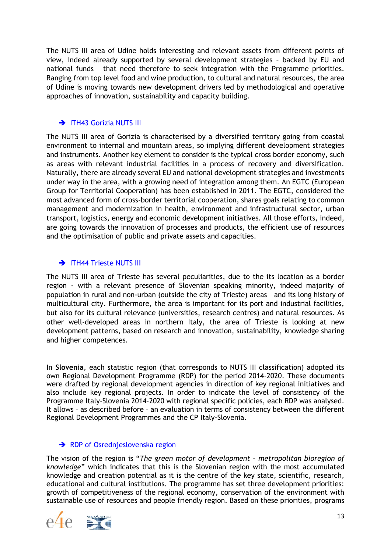The NUTS III area of Udine holds interesting and relevant assets from different points of view, indeed already supported by several development strategies – backed by EU and national funds – that need therefore to seek integration with the Programme priorities. Ranging from top level food and wine production, to cultural and natural resources, the area of Udine is moving towards new development drivers led by methodological and operative approaches of innovation, sustainability and capacity building.

### → ITH43 Gorizia NUTS III

The NUTS III area of Gorizia is characterised by a diversified territory going from coastal environment to internal and mountain areas, so implying different development strategies and instruments. Another key element to consider is the typical cross border economy, such as areas with relevant industrial facilities in a process of recovery and diversification. Naturally, there are already several EU and national development strategies and investments under way in the area, with a growing need of integration among them. An EGTC (European Group for Territorial Cooperation) has been established in 2011. The EGTC, considered the most advanced form of cross-border territorial cooperation, shares goals relating to common management and modernization in health, environment and infrastructural sector, urban transport, logistics, energy and economic development initiatives. All those efforts, indeed, are going towards the innovation of processes and products, the efficient use of resources and the optimisation of public and private assets and capacities.

### TH44 Trieste NUTS III

The NUTS III area of Trieste has several peculiarities, due to the its location as a border region - with a relevant presence of Slovenian speaking minority, indeed majority of population in rural and non-urban (outside the city of Trieste) areas – and its long history of multicultural city. Furthermore, the area is important for its port and industrial facilities, but also for its cultural relevance (universities, research centres) and natural resources. As other well-developed areas in northern Italy, the area of Trieste is looking at new development patterns, based on research and innovation, sustainability, knowledge sharing and higher competences.

In **Slovenia**, each statistic region (that corresponds to NUTS III classification) adopted its own Regional Development Programme (RDP) for the period 2014-2020. These documents were drafted by regional development agencies in direction of key regional initiatives and also include key regional projects. In order to indicate the level of consistency of the Programme Italy-Slovenia 2014-2020 with regional specific policies, each RDP was analysed. It allows – as described before – an evaluation in terms of consistency between the different Regional Development Programmes and the CP Italy-Slovenia.

### → RDP of Osrednjeslovenska region

The vision of the region is "*The green motor of development – metropolitan bioregion of knowledge*" which indicates that this is the Slovenian region with the most accumulated knowledge and creation potential as it is the centre of the key state, scientific, research, educational and cultural institutions. The programme has set three development priorities: growth of competitiveness of the regional economy, conservation of the environment with sustainable use of resources and people friendly region. Based on these priorities, programs

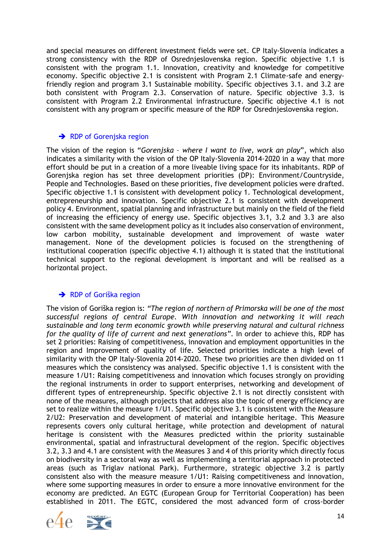and special measures on different investment fields were set. CP Italy-Slovenia indicates a strong consistency with the RDP of Osrednjeslovenska region. Specific objective 1.1 is consistent with the program 1.1. Innovation, creativity and knowledge for competitive economy. Specific objective 2.1 is consistent with Program 2.1 Climate-safe and energyfriendly region and program 3.1 Sustainable mobility. Specific objectives 3.1. and 3.2 are both consistent with Program 2.3. Conservation of nature. Specific objective 3.3. is consistent with Program 2.2 Environmental infrastructure. Specific objective 4.1 is not consistent with any program or specific measure of the RDP for Osrednjeslovenska region.

#### RDP of Gorenjska region

The vision of the region is "*Gorenjska – where I want to live, work an play*", which also indicates a similarity with the vision of the OP Italy-Slovenia 2014-2020 in a way that more effort should be put in a creation of a more liveable living space for its inhabitants. RDP of Gorenjska region has set three development priorities (DP): Environment/Countryside, People and Technologies. Based on these priorities, five development policies were drafted. Specific objective 1.1 is consistent with development policy 1. Technological development, entrepreneurship and innovation. Specific objective 2.1 is consistent with development policy 4. Environment, spatial planning and infrastructure but mainly on the field of the field of increasing the efficiency of energy use. Specific objectives 3.1, 3.2 and 3.3 are also consistent with the same development policy as it includes also conservation of environment, low carbon mobility, sustainable development and improvement of waste water management. None of the development policies is focused on the strengthening of institutional cooperation (specific objective 4.1) although it is stated that the institutional technical support to the regional development is important and will be realised as a horizontal project.

### **→** RDP of Goriška region

The vision of Goriška region is: *"The region of northern of Primorska will be one of the most successful regions of central Europe. With innovation and networking it will reach sustainable and long term economic growth while preserving natural and cultural richness for the quality of life of current and next generations"*. In order to achieve this, RDP has set 2 priorities: Raising of competitiveness, innovation and employment opportunities in the region and Improvement of quality of life. Selected priorities indicate a high level of similarity with the OP Italy-Slovenia 2014-2020. These two priorities are then divided on 11 measures which the consistency was analysed. Specific objective 1.1 is consistent with the measure 1/U1: Raising competitiveness and innovation which focuses strongly on providing the regional instruments in order to support enterprises, networking and development of different types of entrepreneurship. Specific objective 2.1 is not directly consistent with none of the measures, although projects that address also the topic of energy efficiency are set to realize within the measure 1/U1. Specific objective 3.1 is consistent with the Measure 2/U2: Preservation and development of material and intangible heritage. This Measure represents covers only cultural heritage, while protection and development of natural heritage is consistent with the Measures predicted within the priority sustainable environmental, spatial and infrastructural development of the region. Specific objectives 3.2, 3.3 and 4.1 are consistent with the Measures 3 and 4 of this priority which directly focus on biodiversity in a sectoral way as well as implementing a territorial approach in protected areas (such as Triglav national Park). Furthermore, strategic objective 3.2 is partly consistent also with the measure measure 1/U1: Raising competitiveness and innovation, where some supporting measures in order to ensure a more innovative environment for the economy are predicted. An EGTC (European Group for Territorial Cooperation) has been established in 2011. The EGTC, considered the most advanced form of cross-border

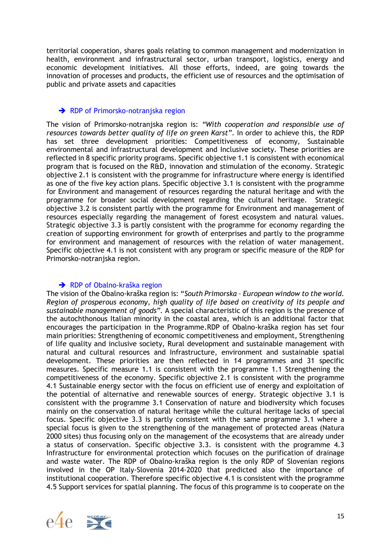territorial cooperation, shares goals relating to common management and modernization in health, environment and infrastructural sector, urban transport, logistics, energy and economic development initiatives. All those efforts, indeed, are going towards the innovation of processes and products, the efficient use of resources and the optimisation of public and private assets and capacities

#### → RDP of Primorsko-notranjska region

The vision of Primorsko-notranjska region is: *"With cooperation and responsible use of resources towards better quality of life on green Karst"*. In order to achieve this, the RDP has set three development priorities: Competitiveness of economy, Sustainable environmental and infrastructural development and Inclusive society. These priorities are reflected in 8 specific priority programs. Specific objective 1.1 is consistent with economical program that is focused on the R&D, innovation and stimulation of the economy. Strategic objective 2.1 is consistent with the programme for infrastructure where energy is identified as one of the five key action plans. Specific objective 3.1 is consistent with the programme for Environment and management of resources regarding the natural heritage and with the programme for broader social development regarding the cultural heritage. Strategic objective 3.2 is consistent partly with the programme for Environment and management of resources especially regarding the management of forest ecosystem and natural values. Strategic objective 3.3 is partly consistent with the programme for economy regarding the creation of supporting environment for growth of enterprises and partly to the programme for environment and management of resources with the relation of water management. Specific objective 4.1 is not consistent with any program or specific measure of the RDP for Primorsko-notranjska region.

#### **→** RDP of Obalno-kraška region

The vision of the Obalno-kraška region is: "*South Primorska – European window to the world. Region of prosperous economy, high quality of life based on creativity of its people and sustainable management of goods".* A special characteristic of this region is the presence of the autochthonous Italian minority in the coastal area, which is an additional factor that encourages the participation in the Programme.RDP of Obalno-kraška region has set four main priorities: Strengthening of economic competitiveness and employment, Strengthening of life quality and inclusive society, Rural development and sustainable management with natural and cultural resources and Infrastructure, environment and sustainable spatial development. These priorities are then reflected in 14 programmes and 31 specific measures. Specific measure 1.1 is consistent with the programme 1.1 Strengthening the competitiveness of the economy. Specific objective 2.1 is consistent with the programme 4.1 Sustainable energy sector with the focus on efficient use of energy and exploitation of the potential of alternative and renewable sources of energy. Strategic objective 3.1 is consistent with the programme 3.1 Conservation of nature and biodiversity which focuses mainly on the conservation of natural heritage while the cultural heritage lacks of special focus. Specific objective 3.3 is partly consistent with the same programme 3.1 where a special focus is given to the strengthening of the management of protected areas (Natura 2000 sites) thus focusing only on the management of the ecosystems that are already under a status of conservation. Specific objective 3.3. is consistent with the programme 4.3 Infrastructure for environmental protection which focuses on the purification of drainage and waste water. The RDP of Obalno-kraška region is the only RDP of Slovenian regions involved in the OP Italy-Slovenia 2014-2020 that predicted also the importance of institutional cooperation. Therefore specific objective 4.1 is consistent with the programme 4.5 Support services for spatial planning. The focus of this programme is to cooperate on the

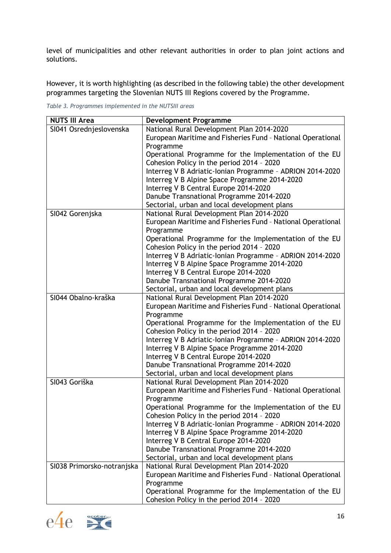level of municipalities and other relevant authorities in order to plan joint actions and solutions.

However, it is worth highlighting (as described in the following table) the other development programmes targeting the Slovenian NUTS III Regions covered by the Programme.

| <b>NUTS III Area</b>       | <b>Development Programme</b>                                                                        |
|----------------------------|-----------------------------------------------------------------------------------------------------|
| SI041 Osrednjeslovenska    | National Rural Development Plan 2014-2020                                                           |
|                            | European Maritime and Fisheries Fund - National Operational                                         |
|                            | Programme                                                                                           |
|                            | Operational Programme for the Implementation of the EU                                              |
|                            | Cohesion Policy in the period 2014 - 2020                                                           |
|                            | Interreg V B Adriatic-Ionian Programme - ADRION 2014-2020                                           |
|                            | Interreg V B Alpine Space Programme 2014-2020                                                       |
|                            | Interreg V B Central Europe 2014-2020                                                               |
|                            | Danube Transnational Programme 2014-2020                                                            |
|                            | Sectorial, urban and local development plans                                                        |
| SI042 Gorenjska            | National Rural Development Plan 2014-2020                                                           |
|                            | European Maritime and Fisheries Fund - National Operational                                         |
|                            | Programme                                                                                           |
|                            | Operational Programme for the Implementation of the EU                                              |
|                            | Cohesion Policy in the period 2014 - 2020                                                           |
|                            | Interreg V B Adriatic-Ionian Programme - ADRION 2014-2020                                           |
|                            | Interreg V B Alpine Space Programme 2014-2020                                                       |
|                            | Interreg V B Central Europe 2014-2020                                                               |
|                            | Danube Transnational Programme 2014-2020                                                            |
|                            | Sectorial, urban and local development plans                                                        |
| SI044 Obalno-kraška        | National Rural Development Plan 2014-2020                                                           |
|                            | European Maritime and Fisheries Fund - National Operational                                         |
|                            | Programme                                                                                           |
|                            | Operational Programme for the Implementation of the EU<br>Cohesion Policy in the period 2014 - 2020 |
|                            | Interreg V B Adriatic-Ionian Programme - ADRION 2014-2020                                           |
|                            | Interreg V B Alpine Space Programme 2014-2020                                                       |
|                            | Interreg V B Central Europe 2014-2020                                                               |
|                            | Danube Transnational Programme 2014-2020                                                            |
|                            | Sectorial, urban and local development plans                                                        |
| SI043 Goriška              | National Rural Development Plan 2014-2020                                                           |
|                            | European Maritime and Fisheries Fund - National Operational                                         |
|                            | Programme                                                                                           |
|                            | Operational Programme for the Implementation of the EU                                              |
|                            | Cohesion Policy in the period 2014 - 2020                                                           |
|                            | Interreg V B Adriatic-Ionian Programme - ADRION 2014-2020                                           |
|                            | Interreg V B Alpine Space Programme 2014-2020                                                       |
|                            | Interreg V B Central Europe 2014-2020                                                               |
|                            | Danube Transnational Programme 2014-2020                                                            |
|                            | Sectorial, urban and local development plans                                                        |
| SI038 Primorsko-notranjska | National Rural Development Plan 2014-2020                                                           |
|                            | European Maritime and Fisheries Fund - National Operational                                         |
|                            | Programme                                                                                           |
|                            | Operational Programme for the Implementation of the EU                                              |
|                            | Cohesion Policy in the period 2014 - 2020                                                           |

*Table 3. Programmes implemented in the NUTSIII areas*



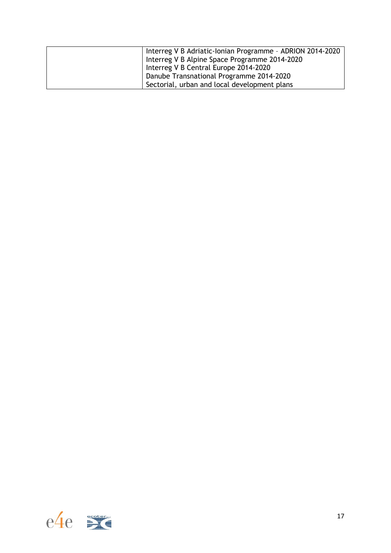| Interreg V B Adriatic-Ionian Programme - ADRION 2014-2020 |
|-----------------------------------------------------------|
| Interreg V B Alpine Space Programme 2014-2020             |
| Interreg V B Central Europe 2014-2020                     |
| Danube Transnational Programme 2014-2020                  |
| Sectorial, urban and local development plans              |

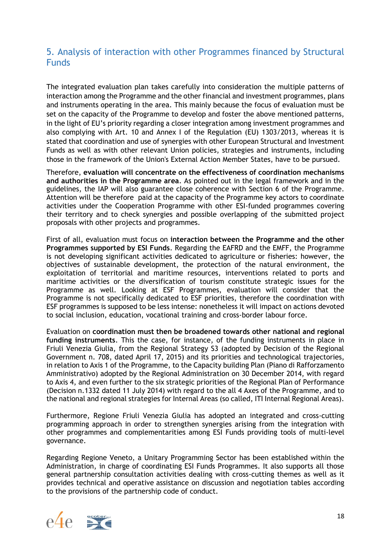# <span id="page-17-0"></span>5. Analysis of interaction with other Programmes financed by Structural Funds

The integrated evaluation plan takes carefully into consideration the multiple patterns of interaction among the Programme and the other financial and investment programmes, plans and instruments operating in the area. This mainly because the focus of evaluation must be set on the capacity of the Programme to develop and foster the above mentioned patterns, in the light of EU's priority regarding a closer integration among investment programmes and also complying with Art. 10 and Annex I of the Regulation (EU) 1303/2013, whereas it is stated that coordination and use of synergies with other European Structural and Investment Funds as well as with other relevant Union policies, strategies and instruments, including those in the framework of the Union's External Action Member States, have to be pursued.

Therefore, **evaluation will concentrate on the effectiveness of coordination mechanisms and authorities in the Programme area**. As pointed out in the legal framework and in the guidelines, the IAP will also guarantee close coherence with Section 6 of the Programme. Attention will be therefore paid at the capacity of the Programme key actors to coordinate activities under the Cooperation Programme with other ESI-funded programmes covering their territory and to check synergies and possible overlapping of the submitted project proposals with other projects and programmes.

First of all, evaluation must focus on **interaction between the Programme and the other Programmes supported by ESI Funds**. Regarding the EAFRD and the EMFF, the Programme is not developing significant activities dedicated to agriculture or fisheries: however, the objectives of sustainable development, the protection of the natural environment, the exploitation of territorial and maritime resources, interventions related to ports and maritime activities or the diversification of tourism constitute strategic issues for the Programme as well. Looking at ESF Programmes, evaluation will consider that the Programme is not specifically dedicated to ESF priorities, therefore the coordination with ESF programmes is supposed to be less intense: nonetheless it will impact on actions devoted to social inclusion, education, vocational training and cross-border labour force.

Evaluation on **coordination must then be broadened towards other national and regional funding instruments**. This the case, for instance, of the funding instruments in place in Friuli Venezia Giulia, from the Regional Strategy S3 (adopted by Decision of the Regional Government n. 708, dated April 17, 2015) and its priorities and technological trajectories, in relation to Axis 1 of the Programme, to the Capacity building Plan (Piano di Rafforzamento Amministrativo) adopted by the Regional Administration on 30 December 2014, with regard to Axis 4, and even further to the six strategic priorities of the Regional Plan of Performance (Decision n.1332 dated 11 July 2014) with regard to the all 4 Axes of the Programme, and to the national and regional strategies for Internal Areas (so called, ITI Internal Regional Areas).

Furthermore, Regione Friuli Venezia Giulia has adopted an integrated and cross-cutting programming approach in order to strengthen synergies arising from the integration with other programmes and complementarities among ESI Funds providing tools of multi-level governance.

Regarding Regione Veneto, a Unitary Programming Sector has been established within the Administration, in charge of coordinating ESI Funds Programmes. It also supports all those general partnership consultation activities dealing with cross-cutting themes as well as it provides technical and operative assistance on discussion and negotiation tables according to the provisions of the partnership code of conduct.

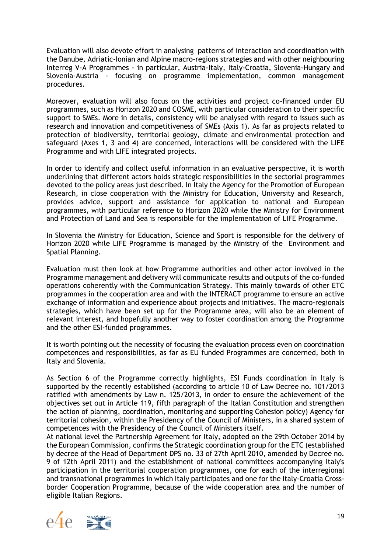Evaluation will also devote effort in analysing patterns of interaction and coordination with the Danube, Adriatic-Ionian and Alpine macro-regions strategies and with other neighbouring Interreg V-A Programmes - in particular, Austria-Italy, Italy-Croatia, Slovenia-Hungary and Slovenia-Austria - focusing on programme implementation, common management procedures.

Moreover, evaluation will also focus on the activities and project co-financed under EU programmes, such as Horizon 2020 and COSME, with particular consideration to their specific support to SMEs. More in details, consistency will be analysed with regard to issues such as research and innovation and competitiveness of SMEs (Axis 1). As far as projects related to protection of biodiversity, territorial geology, climate and environmental protection and safeguard (Axes 1, 3 and 4) are concerned, interactions will be considered with the LIFE Programme and with LIFE integrated projects.

In order to identify and collect useful information in an evaluative perspective, it is worth underlining that different actors holds strategic responsibilities in the sectorial programmes devoted to the policy areas just described. In Italy the Agency for the Promotion of European Research, in close cooperation with the Ministry for Education, University and Research, provides advice, support and assistance for application to national and European programmes, with particular reference to Horizon 2020 while the Ministry for Environment and Protection of Land and Sea is responsible for the implementation of LIFE Programme.

In Slovenia the Ministry for Education, Science and Sport is responsible for the delivery of Horizon 2020 while LIFE Programme is managed by the Ministry of the Environment and Spatial Planning.

Evaluation must then look at how Programme authorities and other actor involved in the Programme management and delivery will communicate results and outputs of the co-funded operations coherently with the Communication Strategy. This mainly towards of other ETC programmes in the cooperation area and with the INTERACT programme to ensure an active exchange of information and experience about projects and initiatives. The macro-regionals strategies, which have been set up for the Programme area, will also be an element of relevant interest, and hopefully another way to foster coordination among the Programme and the other ESI-funded programmes.

It is worth pointing out the necessity of focusing the evaluation process even on coordination competences and responsibilities, as far as EU funded Programmes are concerned, both in Italy and Slovenia.

As Section 6 of the Programme correctly highlights, ESI Funds coordination in Italy is supported by the recently established (according to article 10 of Law Decree no. 101/2013 ratified with amendments by Law n. 125/2013, in order to ensure the achievement of the objectives set out in Article 119, fifth paragraph of the Italian Constitution and strengthen the action of planning, coordination, monitoring and supporting Cohesion policy) Agency for territorial cohesion, within the Presidency of the Council of Ministers, in a shared system of competences with the Presidency of the Council of Ministers itself.

At national level the Partnership Agreement for Italy, adopted on the 29th October 2014 by the European Commission, confirms the Strategic coordination group for the ETC (established by decree of the Head of Department DPS no. 33 of 27th April 2010, amended by Decree no. 9 of 12th April 2011) and the establishment of national committees accompanying Italy's participation in the territorial cooperation programmes, one for each of the interregional and transnational programmes in which Italy participates and one for the Italy-Croatia Crossborder Cooperation Programme, because of the wide cooperation area and the number of eligible Italian Regions.

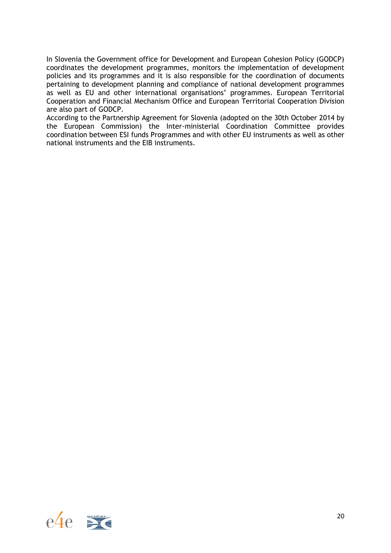In Slovenia the Government office for Development and European Cohesion Policy (GODCP) coordinates the development programmes, monitors the implementation of development policies and its programmes and it is also responsible for the coordination of documents pertaining to development planning and compliance of national development programmes as well as EU and other international organisations' programmes. European Territorial Cooperation and Financial Mechanism Office and European Territorial Cooperation Division are also part of GODCP.

According to the Partnership Agreement for Slovenia (adopted on the 30th October 2014 by the European Commission) the Inter-ministerial Coordination Committee provides coordination between ESI funds Programmes and with other EU instruments as well as other national instruments and the EIB instruments.

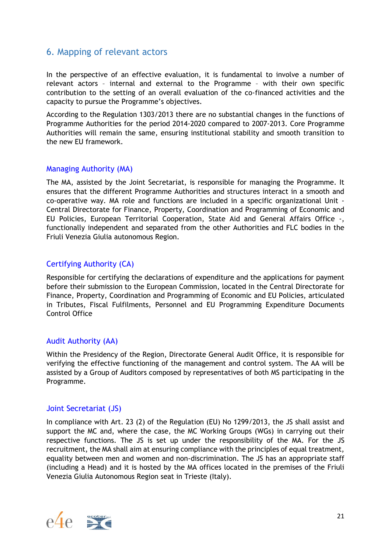# <span id="page-20-0"></span>6. Mapping of relevant actors

In the perspective of an effective evaluation, it is fundamental to involve a number of relevant actors – internal and external to the Programme – with their own specific contribution to the setting of an overall evaluation of the co-financed activities and the capacity to pursue the Programme's objectives.

According to the Regulation 1303/2013 there are no substantial changes in the functions of Programme Authorities for the period 2014-2020 compared to 2007-2013. Core Programme Authorities will remain the same, ensuring institutional stability and smooth transition to the new EU framework.

### Managing Authority (MA)

The MA, assisted by the Joint Secretariat, is responsible for managing the Programme. It ensures that the different Programme Authorities and structures interact in a smooth and co-operative way. MA role and functions are included in a specific organizational Unit - Central Directorate for Finance, Property, Coordination and Programming of Economic and EU Policies, European Territorial Cooperation, State Aid and General Affairs Office -, functionally independent and separated from the other Authorities and FLC bodies in the Friuli Venezia Giulia autonomous Region.

### Certifying Authority (CA)

Responsible for certifying the declarations of expenditure and the applications for payment before their submission to the European Commission, located in the Central Directorate for Finance, Property, Coordination and Programming of Economic and EU Policies, articulated in Tributes, Fiscal Fulfilments, Personnel and EU Programming Expenditure Documents Control Office

### Audit Authority (AA)

Within the Presidency of the Region, Directorate General Audit Office, it is responsible for verifying the effective functioning of the management and control system. The AA will be assisted by a Group of Auditors composed by representatives of both MS participating in the Programme.

### Joint Secretariat (JS)

In compliance with Art. 23 (2) of the Regulation (EU) No 1299/2013, the JS shall assist and support the MC and, where the case, the MC Working Groups (WGs) in carrying out their respective functions. The JS is set up under the responsibility of the MA. For the JS recruitment, the MA shall aim at ensuring compliance with the principles of equal treatment, equality between men and women and non-discrimination. The JS has an appropriate staff (including a Head) and it is hosted by the MA offices located in the premises of the Friuli Venezia Giulia Autonomous Region seat in Trieste (Italy).

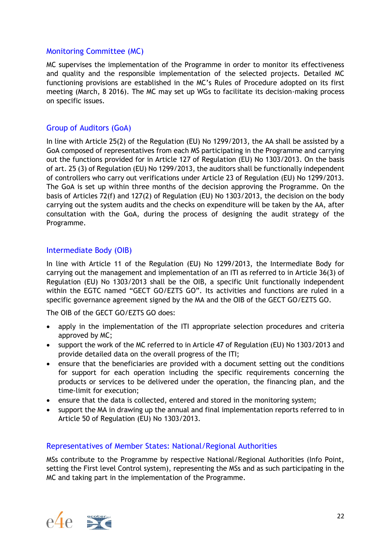### Monitoring Committee (MC)

MC supervises the implementation of the Programme in order to monitor its effectiveness and quality and the responsible implementation of the selected projects. Detailed MC functioning provisions are established in the MC's Rules of Procedure adopted on its first meeting (March, 8 2016). The MC may set up WGs to facilitate its decision-making process on specific issues.

### Group of Auditors (GoA)

In line with Article 25(2) of the Regulation (EU) No 1299/2013, the AA shall be assisted by a GoA composed of representatives from each MS participating in the Programme and carrying out the functions provided for in Article 127 of Regulation (EU) No 1303/2013. On the basis of art. 25 (3) of Regulation (EU) No 1299/2013, the auditors shall be functionally independent of controllers who carry out verifications under Article 23 of Regulation (EU) No 1299/2013. The GoA is set up within three months of the decision approving the Programme. On the basis of Articles 72(f) and 127(2) of Regulation (EU) No 1303/2013, the decision on the body carrying out the system audits and the checks on expenditure will be taken by the AA, after consultation with the GoA, during the process of designing the audit strategy of the Programme.

### Intermediate Body (OIB)

In line with Article 11 of the Regulation (EU) No 1299/2013, the Intermediate Body for carrying out the management and implementation of an ITI as referred to in Article 36(3) of Regulation (EU) No 1303/2013 shall be the OIB, a specific Unit functionally independent within the EGTC named "GECT GO/EZTS GO". Its activities and functions are ruled in a specific governance agreement signed by the MA and the OIB of the GECT GO/EZTS GO.

The OIB of the GECT GO/EZTS GO does:

- apply in the implementation of the ITI appropriate selection procedures and criteria approved by MC;
- support the work of the MC referred to in Article 47 of Regulation (EU) No 1303/2013 and provide detailed data on the overall progress of the ITI;
- ensure that the beneficiaries are provided with a document setting out the conditions for support for each operation including the specific requirements concerning the products or services to be delivered under the operation, the financing plan, and the time-limit for execution;
- ensure that the data is collected, entered and stored in the monitoring system;
- support the MA in drawing up the annual and final implementation reports referred to in Article 50 of Regulation (EU) No 1303/2013.

### Representatives of Member States: National/Regional Authorities

MSs contribute to the Programme by respective National/Regional Authorities (Info Point, setting the First level Control system), representing the MSs and as such participating in the MC and taking part in the implementation of the Programme.

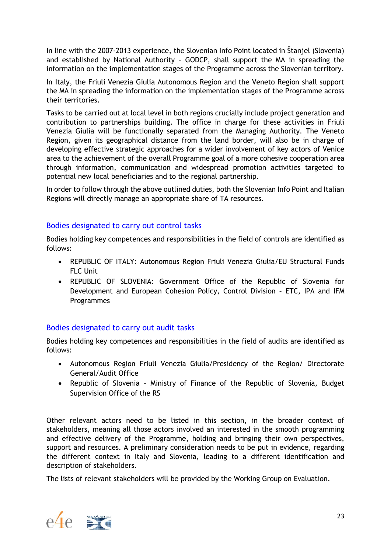In line with the 2007-2013 experience, the Slovenian Info Point located in Štanjel (Slovenia) and established by National Authority - GODCP, shall support the MA in spreading the information on the implementation stages of the Programme across the Slovenian territory.

In Italy, the Friuli Venezia Giulia Autonomous Region and the Veneto Region shall support the MA in spreading the information on the implementation stages of the Programme across their territories.

Tasks to be carried out at local level in both regions crucially include project generation and contribution to partnerships building. The office in charge for these activities in Friuli Venezia Giulia will be functionally separated from the Managing Authority. The Veneto Region, given its geographical distance from the land border, will also be in charge of developing effective strategic approaches for a wider involvement of key actors of Venice area to the achievement of the overall Programme goal of a more cohesive cooperation area through information, communication and widespread promotion activities targeted to potential new local beneficiaries and to the regional partnership.

In order to follow through the above outlined duties, both the Slovenian Info Point and Italian Regions will directly manage an appropriate share of TA resources.

### Bodies designated to carry out control tasks

Bodies holding key competences and responsibilities in the field of controls are identified as follows:

- REPUBLIC OF ITALY: Autonomous Region Friuli Venezia Giulia/EU Structural Funds FLC Unit
- REPUBLIC OF SLOVENIA: Government Office of the Republic of Slovenia for Development and European Cohesion Policy, Control Division – ETC, IPA and IFM Programmes

### Bodies designated to carry out audit tasks

Bodies holding key competences and responsibilities in the field of audits are identified as follows:

- Autonomous Region Friuli Venezia Giulia/Presidency of the Region/ Directorate General/Audit Office
- Republic of Slovenia Ministry of Finance of the Republic of Slovenia, Budget Supervision Office of the RS

Other relevant actors need to be listed in this section, in the broader context of stakeholders, meaning all those actors involved an interested in the smooth programming and effective delivery of the Programme, holding and bringing their own perspectives, support and resources. A preliminary consideration needs to be put in evidence, regarding the different context in Italy and Slovenia, leading to a different identification and description of stakeholders.

The lists of relevant stakeholders will be provided by the Working Group on Evaluation.

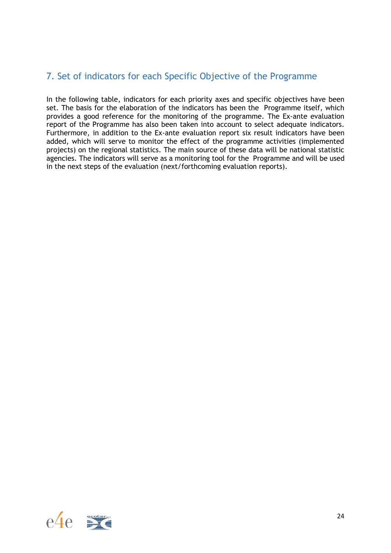# <span id="page-23-0"></span>7. Set of indicators for each Specific Objective of the Programme

In the following table, indicators for each priority axes and specific objectives have been set. The basis for the elaboration of the indicators has been the Programme itself, which provides a good reference for the monitoring of the programme. The Ex-ante evaluation report of the Programme has also been taken into account to select adequate indicators. Furthermore, in addition to the Ex-ante evaluation report six result indicators have been added, which will serve to monitor the effect of the programme activities (implemented projects) on the regional statistics. The main source of these data will be national statistic agencies. The indicators will serve as a monitoring tool for the Programme and will be used in the next steps of the evaluation (next/forthcoming evaluation reports).

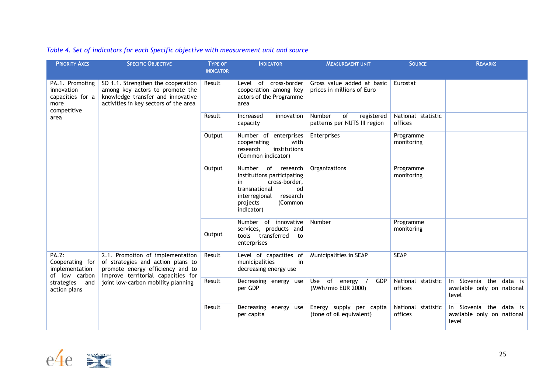| Table 4. Set of indicators for each Specific objective with measurement unit and source |  |  |  |  |
|-----------------------------------------------------------------------------------------|--|--|--|--|
|                                                                                         |  |  |  |  |

| <b>PRIORITY AXES</b>                                                             | <b>SPECIFIC OBJECTIVE</b>                                                                                                                           | TYPE OF<br><b>INDICATOR</b> | <b>INDICATOR</b>                                                                                                                                                    | <b>MEASUREMENT UNIT</b>                                    | <b>SOURCE</b>                 | <b>REMARKS</b>                                                 |
|----------------------------------------------------------------------------------|-----------------------------------------------------------------------------------------------------------------------------------------------------|-----------------------------|---------------------------------------------------------------------------------------------------------------------------------------------------------------------|------------------------------------------------------------|-------------------------------|----------------------------------------------------------------|
| PA.1. Promoting<br>innovation<br>capacities for a<br>more<br>competitive<br>area | SO 1.1. Strengthen the cooperation<br>among key actors to promote the<br>knowledge transfer and innovative<br>activities in key sectors of the area | Result                      | of cross-border<br>Level<br>cooperation among key<br>actors of the Programme<br>area                                                                                | Gross value added at basic<br>prices in millions of Euro   | Eurostat                      |                                                                |
|                                                                                  |                                                                                                                                                     | Result                      | Increased<br>innovation<br>capacity                                                                                                                                 | Number<br>of<br>registered<br>patterns per NUTS III region | National statistic<br>offices |                                                                |
|                                                                                  |                                                                                                                                                     | Output                      | Number of enterprises<br>with<br>cooperating<br>institutions<br>research<br>(Common indicator)                                                                      | Enterprises                                                | Programme<br>monitoring       |                                                                |
|                                                                                  |                                                                                                                                                     | Output                      | Number<br>of research<br>institutions participating<br>cross-border,<br>in<br>transnational<br>od<br>interregional<br>research<br>(Common<br>projects<br>indicator) | Organizations                                              | Programme<br>monitoring       |                                                                |
|                                                                                  |                                                                                                                                                     | Output                      | Number of innovative<br>services, products and<br>tools transferred<br>to<br>enterprises                                                                            | Number                                                     | Programme<br>monitoring       |                                                                |
| PA.2:<br>Cooperating for<br>implementation<br>of low carbon                      | 2.1. Promotion of implementation<br>of strategies and action plans to<br>promote energy efficiency and to<br>improve territorial capacities for     | Result                      | Level of capacities of<br>municipalities<br>in<br>decreasing energy use                                                                                             | Municipalities in SEAP                                     | <b>SEAP</b>                   |                                                                |
| strategies and<br>action plans                                                   | joint low-carbon mobility planning                                                                                                                  | Result                      | Decreasing energy use<br>per GDP                                                                                                                                    | Use of energy /<br>GDP<br>(MWh/mio EUR 2000)               | National statistic<br>offices | In Slovenia the data is<br>available only on national<br>level |
|                                                                                  |                                                                                                                                                     | Result                      | Decreasing energy<br>use<br>per capita                                                                                                                              | Energy supply per capita<br>(tone of oil equivalent)       | National statistic<br>offices | In Slovenia the data is<br>available only on national<br>level |

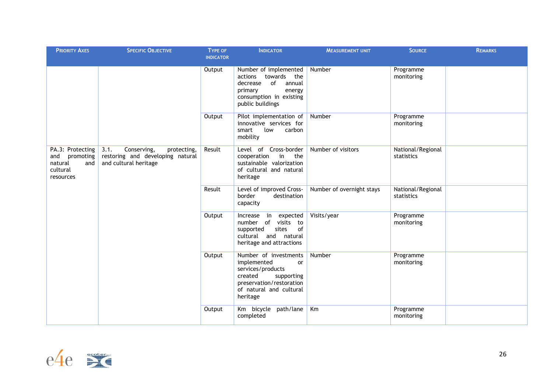| <b>PRIORITY AXES</b>                                                            | <b>SPECIFIC OBJECTIVE</b>                                                                       | TYPE OF<br><b>INDICATOR</b> | <b>INDICATOR</b>                                                                                                                                            | <b>MEASUREMENT UNIT</b>   | <b>SOURCE</b>                   | <b>REMARKS</b> |
|---------------------------------------------------------------------------------|-------------------------------------------------------------------------------------------------|-----------------------------|-------------------------------------------------------------------------------------------------------------------------------------------------------------|---------------------------|---------------------------------|----------------|
|                                                                                 |                                                                                                 | Output                      | Number of implemented<br>towards<br>the<br>actions<br>of<br>annual<br>decrease<br>primary<br>energy<br>consumption in existing<br>public buildings          | Number                    | Programme<br>monitoring         |                |
|                                                                                 |                                                                                                 | Output                      | Pilot implementation of<br>innovative services for<br>low<br>smart<br>carbon<br>mobility                                                                    | Number                    | Programme<br>monitoring         |                |
| PA.3: Protecting<br>and<br>promoting<br>and<br>natural<br>cultural<br>resources | Conserving,<br>3.1.<br>protecting,<br>restoring and developing natural<br>and cultural heritage | Result                      | Level of Cross-border<br>cooperation in<br>the<br>sustainable valorization<br>of cultural and natural<br>heritage                                           | Number of visitors        | National/Regional<br>statistics |                |
|                                                                                 |                                                                                                 | Result                      | Level of improved Cross-<br>border<br>destination<br>capacity                                                                                               | Number of overnight stays | National/Regional<br>statistics |                |
|                                                                                 |                                                                                                 | Output                      | Increase in<br>expected<br>number of visits to<br>sites<br>of<br>supported<br>cultural and natural<br>heritage and attractions                              | Visits/year               | Programme<br>monitoring         |                |
|                                                                                 |                                                                                                 | Output                      | Number of investments<br>implemented<br>or<br>services/products<br>created<br>supporting<br>preservation/restoration<br>of natural and cultural<br>heritage | Number                    | Programme<br>monitoring         |                |
|                                                                                 |                                                                                                 | Output                      | Km bicycle path/lane<br>completed                                                                                                                           | Km                        | Programme<br>monitoring         |                |

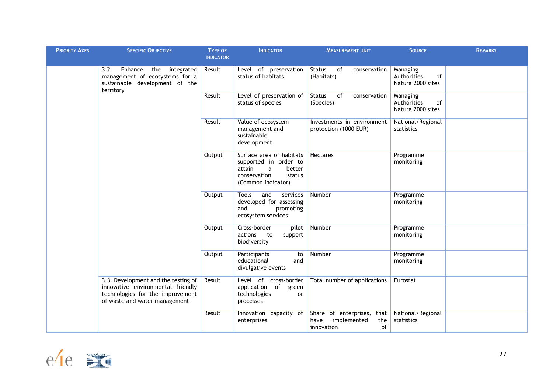| <b>PRIORITY AXES</b> | <b>SPECIFIC OBJECTIVE</b>                                                                                                                     | <b>TYPE OF</b>                                                 | <b>INDICATOR</b>                                                                                                           | <b>MEASUREMENT UNIT</b>                                                      | <b>SOURCE</b>                                      | <b>REMARKS</b> |
|----------------------|-----------------------------------------------------------------------------------------------------------------------------------------------|----------------------------------------------------------------|----------------------------------------------------------------------------------------------------------------------------|------------------------------------------------------------------------------|----------------------------------------------------|----------------|
|                      |                                                                                                                                               | <b>INDICATOR</b>                                               |                                                                                                                            |                                                                              |                                                    |                |
|                      | Enhance<br>3.2.<br>the<br>integrated<br>management of ecosystems for a<br>sustainable development of the<br>territory                         | Result                                                         | Level of preservation<br>status of habitats                                                                                | of<br><b>Status</b><br>conservation<br>(Habitats)                            | Managing<br>Authorities<br>of<br>Natura 2000 sites |                |
|                      | Result                                                                                                                                        | Level of preservation of<br>status of species                  | <b>Status</b><br>of<br>conservation<br>(Species)                                                                           | Managing<br>Authorities<br>of<br>Natura 2000 sites                           |                                                    |                |
|                      |                                                                                                                                               | Result                                                         | Value of ecosystem<br>management and<br>sustainable<br>development                                                         | Investments in environment<br>protection (1000 EUR)                          | National/Regional<br>statistics                    |                |
|                      |                                                                                                                                               | Output                                                         | Surface area of habitats<br>supported in order to<br>attain<br>better<br>a<br>conservation<br>status<br>(Common indicator) | <b>Hectares</b>                                                              | Programme<br>monitoring                            |                |
|                      |                                                                                                                                               | Output                                                         | Tools<br>and<br>services<br>developed for assessing<br>and<br>promoting<br>ecosystem services                              | Number                                                                       | Programme<br>monitoring                            |                |
|                      |                                                                                                                                               | Output                                                         | Cross-border<br>pilot<br>actions<br>to<br>support<br>biodiversity                                                          | Number                                                                       | Programme<br>monitoring                            |                |
|                      | Output                                                                                                                                        | Participants<br>to<br>educational<br>and<br>divulgative events | Number                                                                                                                     | Programme<br>monitoring                                                      |                                                    |                |
|                      | 3.3. Development and the testing of<br>innovative environmental friendly<br>technologies for the improvement<br>of waste and water management | Result                                                         | Level of cross-border<br>of<br>application<br>green<br>technologies<br>or<br>processes                                     | Total number of applications                                                 | Eurostat                                           |                |
|                      |                                                                                                                                               | Result                                                         | Innovation capacity of<br>enterprises                                                                                      | Share of enterprises, that<br>implemented<br>have<br>the<br>of<br>innovation | National/Regional<br>statistics                    |                |

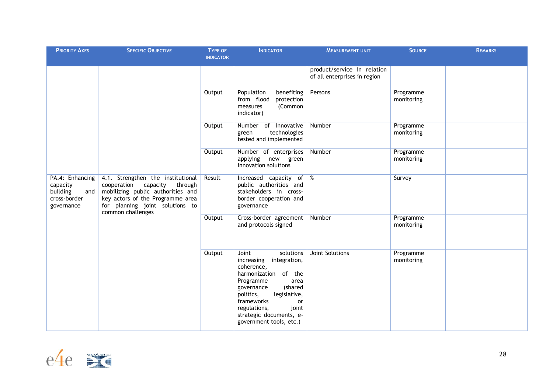| <b>PRIORITY AXES</b>                                                                                                      | <b>SPECIFIC OBJECTIVE</b>                                                                                                                                | <b>TYPE OF</b><br><b>INDICATOR</b> | <b>INDICATOR</b>                                                                                                                                                                                                                                                        | <b>MEASUREMENT UNIT</b>                                     | <b>SOURCE</b>           | <b>REMARKS</b> |
|---------------------------------------------------------------------------------------------------------------------------|----------------------------------------------------------------------------------------------------------------------------------------------------------|------------------------------------|-------------------------------------------------------------------------------------------------------------------------------------------------------------------------------------------------------------------------------------------------------------------------|-------------------------------------------------------------|-------------------------|----------------|
|                                                                                                                           |                                                                                                                                                          |                                    |                                                                                                                                                                                                                                                                         | product/service in relation<br>of all enterprises in region |                         |                |
|                                                                                                                           |                                                                                                                                                          | Output                             | benefiting<br>Population<br>from flood<br>protection<br>(Common<br>measures<br>indicator)                                                                                                                                                                               | Persons                                                     | Programme<br>monitoring |                |
|                                                                                                                           |                                                                                                                                                          | Output                             | Number of innovative<br>technologies<br>green<br>tested and implemented                                                                                                                                                                                                 | Number                                                      | Programme<br>monitoring |                |
|                                                                                                                           |                                                                                                                                                          | Output                             | Number of enterprises<br>applying<br>new green<br>innovation solutions                                                                                                                                                                                                  | Number                                                      | Programme<br>monitoring |                |
| PA.4: Enhancing<br>cooperation capacity<br>capacity<br>building<br>and<br>cross-border<br>governance<br>common challenges | 4.1. Strengthen the institutional<br>through<br>mobilizing public authorities and<br>key actors of the Programme area<br>for planning joint solutions to | Result                             | Increased capacity of<br>public authorities and<br>stakeholders in cross-<br>border cooperation and<br>governance                                                                                                                                                       | %                                                           | Survey                  |                |
|                                                                                                                           |                                                                                                                                                          | Output                             | Cross-border agreement<br>and protocols signed                                                                                                                                                                                                                          | Number                                                      | Programme<br>monitoring |                |
|                                                                                                                           |                                                                                                                                                          | Output                             | Joint<br>solutions<br>integration,<br>increasing<br>coherence,<br>harmonization<br>of the<br>Programme<br>area<br>(shared<br>governance<br>politics,<br>legislative,<br>frameworks<br>or<br>regulations,<br>joint<br>strategic documents, e-<br>government tools, etc.) | <b>Joint Solutions</b>                                      | Programme<br>monitoring |                |

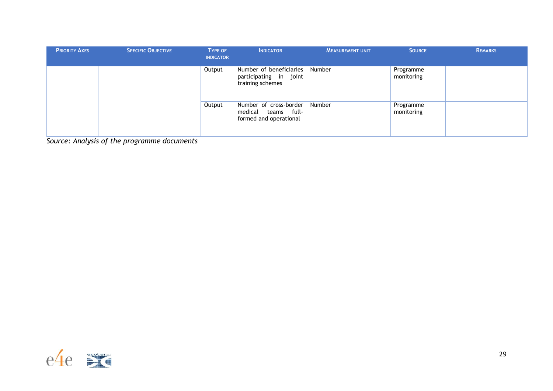| <b>PRIORITY AXES</b> | <b>SPECIFIC OBJECTIVE</b> | <b>TYPE OF</b><br><b>INDICATOR</b> | <b>INDICATOR</b>                                                              | <b>MEASUREMENT UNIT</b> | <b>SOURCE</b>           | <b>REMARKS</b> |
|----------------------|---------------------------|------------------------------------|-------------------------------------------------------------------------------|-------------------------|-------------------------|----------------|
|                      |                           | Output                             | Number of beneficiaries<br>participating in joint<br>training schemes         | Number                  | Programme<br>monitoring |                |
|                      |                           | Output                             | Number of cross-border<br>medical<br>full-<br>teams<br>formed and operational | Number                  | Programme<br>monitoring |                |

*Source: Analysis of the programme documents*

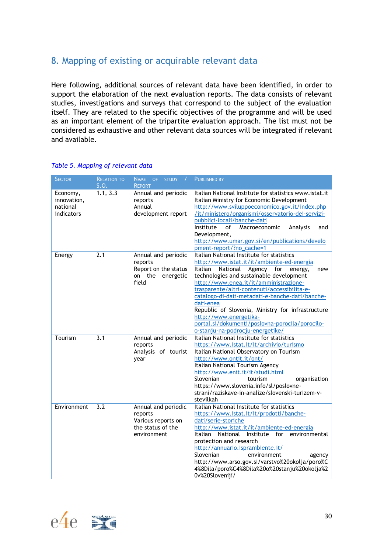# <span id="page-29-0"></span>8. Mapping of existing or acquirable relevant data

Here following, additional sources of relevant data have been identified, in order to support the elaboration of the next evaluation reports. The data consists of relevant studies, investigations and surveys that correspond to the subject of the evaluation itself. They are related to the specific objectives of the programme and will be used as an important element of the tripartite evaluation approach. The list must not be considered as exhaustive and other relevant data sources will be integrated if relevant and available.

| <b>SECTOR</b>                                     | <b>RELATION TO</b><br>S.O. | <b>NAME</b><br>OF STUDY<br>$\overline{1}$<br><b>REPORT</b>                               | <b>PUBLISHED BY</b>                                                                                                                                                                                                                                                                                                                                                                                                                                                                                                  |
|---------------------------------------------------|----------------------------|------------------------------------------------------------------------------------------|----------------------------------------------------------------------------------------------------------------------------------------------------------------------------------------------------------------------------------------------------------------------------------------------------------------------------------------------------------------------------------------------------------------------------------------------------------------------------------------------------------------------|
| Economy,<br>innovation,<br>national<br>indicators | 1.1, 3.3                   | Annual and periodic<br>reports<br>Annual<br>development report                           | Italian National Institute for statistics www.istat.it<br>Italian Ministry for Economic Development<br>http://www.sviluppoeconomico.gov.it/index.php<br>/it/ministero/organismi/osservatorio-dei-servizi-<br>pubblici-locali/banche-dati<br>Institute<br>of<br>Macroeconomic<br>Analysis<br>and<br>Development,<br>http://www.umar.gov.si/en/publications/develo<br>pment-report/?no_cache=1                                                                                                                         |
| Energy                                            | 2.1                        | Annual and periodic<br>reports<br>Report on the status<br>on the energetic<br>field      | Italian National Institute for statistics<br>http://www.istat.it/it/ambiente-ed-energia<br>National Agency for energy,<br>Italian<br>new<br>technologies and sustainable development<br>http://www.enea.it/it/amministrazione-<br>trasparente/altri-contenuti/accessibilita-e-<br>catalogo-di-dati-metadati-e-banche-dati/banche-<br>dati-enea<br>Republic of Slovenia, Ministry for infrastructure<br>http://www.energetika-<br>portal.si/dokumenti/poslovna-porocila/porocilo-<br>o-stanju-na-podrocju-energetike/ |
| Tourism                                           | 3.1                        | Annual and periodic<br>reports<br>Analysis of tourist<br>year                            | Italian National Institute for statistics<br>https://www.istat.it/it/archivio/turismo<br>Italian National Observatory on Tourism<br>http://www.ontit.it/ont/<br>Italian National Tourism Agency<br>http://www.enit.it/it/studi.html<br>Slovenian<br>tourism<br>organisation<br>https://www.slovenia.info/sl/poslovne-<br>strani/raziskave-in-analize/slovenski-turizem-v-<br>stevilkah                                                                                                                               |
| Environment                                       | 3.2                        | Annual and periodic<br>reports<br>Various reports on<br>the status of the<br>environment | Italian National Institute for statistics<br>https://www.istat.it/it/prodotti/banche-<br>dati/serie-storiche<br>http://www.istat.it/it/ambiente-ed-energia<br>National Institute for environmental<br>Italian<br>protection and research<br>http://annuario.isprambiente.it/<br>Slovenian<br>environment<br>agency<br>http://www.arso.gov.si/varstvo%20okolja/poro%C<br>4%8Dila/poro%C4%8Dila%20o%20stanju%20okolja%2<br>0v%20Sloveniji/                                                                             |

#### *Table 5. Mapping of relevant data*

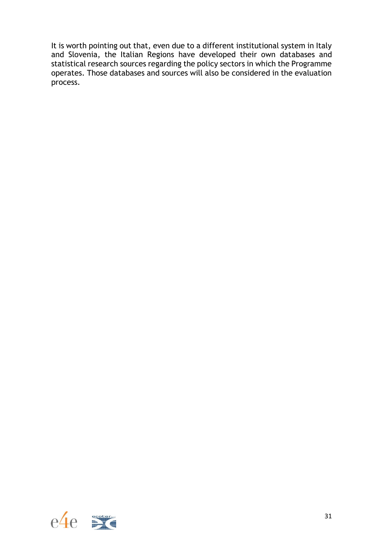It is worth pointing out that, even due to a different institutional system in Italy and Slovenia, the Italian Regions have developed their own databases and statistical research sources regarding the policy sectors in which the Programme operates. Those databases and sources will also be considered in the evaluation process.

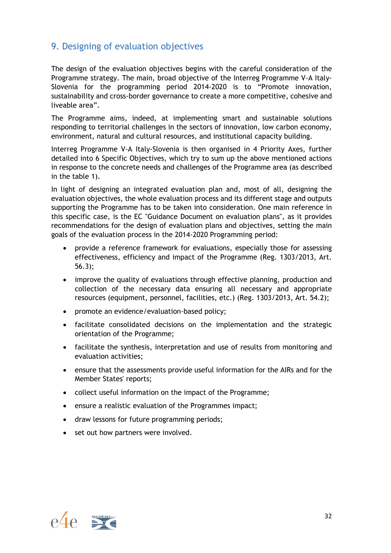# <span id="page-31-0"></span>9. Designing of evaluation objectives

The design of the evaluation objectives begins with the careful consideration of the Programme strategy. The main, broad objective of the Interreg Programme V-A Italy-Slovenia for the programming period 2014-2020 is to "Promote innovation, sustainability and cross-border governance to create a more competitive, cohesive and liveable area".

The Programme aims, indeed, at implementing smart and sustainable solutions responding to territorial challenges in the sectors of innovation, low carbon economy, environment, natural and cultural resources, and institutional capacity building.

Interreg Programme V-A Italy-Slovenia is then organised in 4 Priority Axes, further detailed into 6 Specific Objectives, which try to sum up the above mentioned actions in response to the concrete needs and challenges of the Programme area (as described in the table 1).

In light of designing an integrated evaluation plan and, most of all, designing the evaluation objectives, the whole evaluation process and its different stage and outputs supporting the Programme has to be taken into consideration. One main reference in this specific case, is the EC "Guidance Document on evaluation plans", as it provides recommendations for the design of evaluation plans and objectives, setting the main goals of the evaluation process in the 2014-2020 Programming period:

- provide a reference framework for evaluations, especially those for assessing effectiveness, efficiency and impact of the Programme (Reg. 1303/2013, Art. 56.3);
- improve the quality of evaluations through effective planning, production and collection of the necessary data ensuring all necessary and appropriate resources (equipment, personnel, facilities, etc.) (Reg. 1303/2013, Art. 54.2);
- promote an evidence/evaluation-based policy;
- facilitate consolidated decisions on the implementation and the strategic orientation of the Programme;
- facilitate the synthesis, interpretation and use of results from monitoring and evaluation activities;
- ensure that the assessments provide useful information for the AIRs and for the Member States' reports;
- collect useful information on the impact of the Programme;
- ensure a realistic evaluation of the Programmes impact;
- draw lessons for future programming periods;
- set out how partners were involved.

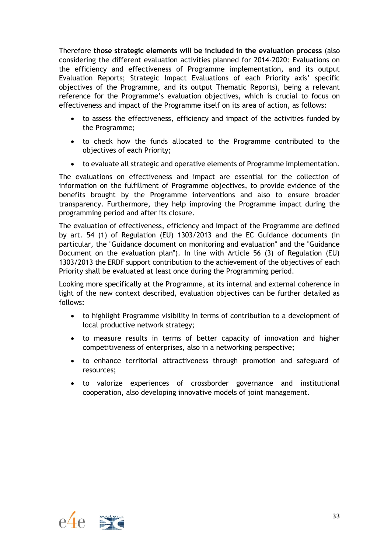Therefore **those strategic elements will be included in the evaluation process** (also considering the different evaluation activities planned for 2014-2020: Evaluations on the efficiency and effectiveness of Programme implementation, and its output Evaluation Reports; Strategic Impact Evaluations of each Priority axis' specific objectives of the Programme, and its output Thematic Reports), being a relevant reference for the Programme's evaluation objectives, which is crucial to focus on effectiveness and impact of the Programme itself on its area of action, as follows:

- to assess the effectiveness, efficiency and impact of the activities funded by the Programme;
- to check how the funds allocated to the Programme contributed to the objectives of each Priority;
- to evaluate all strategic and operative elements of Programme implementation.

The evaluations on effectiveness and impact are essential for the collection of information on the fulfillment of Programme objectives, to provide evidence of the benefits brought by the Programme interventions and also to ensure broader transparency. Furthermore, they help improving the Programme impact during the programming period and after its closure.

The evaluation of effectiveness, efficiency and impact of the Programme are defined by art. 54 (1) of Regulation (EU) 1303/2013 and the EC Guidance documents (in particular, the "Guidance document on monitoring and evaluation" and the "Guidance Document on the evaluation plan"). In line with Article 56 (3) of Regulation (EU) 1303/2013 the ERDF support contribution to the achievement of the objectives of each Priority shall be evaluated at least once during the Programming period.

Looking more specifically at the Programme, at its internal and external coherence in light of the new context described, evaluation objectives can be further detailed as follows:

- to highlight Programme visibility in terms of contribution to a development of local productive network strategy;
- to measure results in terms of better capacity of innovation and higher competitiveness of enterprises, also in a networking perspective;
- to enhance territorial attractiveness through promotion and safeguard of resources;
- to valorize experiences of crossborder governance and institutional cooperation, also developing innovative models of joint management.

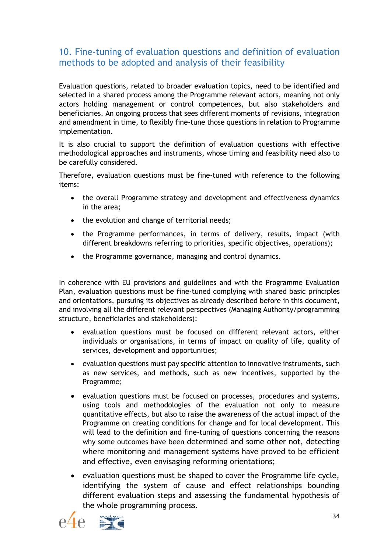# <span id="page-33-0"></span>10. Fine-tuning of evaluation questions and definition of evaluation methods to be adopted and analysis of their feasibility

Evaluation questions, related to broader evaluation topics, need to be identified and selected in a shared process among the Programme relevant actors, meaning not only actors holding management or control competences, but also stakeholders and beneficiaries. An ongoing process that sees different moments of revisions, integration and amendment in time, to flexibly fine-tune those questions in relation to Programme implementation.

It is also crucial to support the definition of evaluation questions with effective methodological approaches and instruments, whose timing and feasibility need also to be carefully considered.

Therefore, evaluation questions must be fine-tuned with reference to the following items:

- the overall Programme strategy and development and effectiveness dynamics in the area;
- the evolution and change of territorial needs;
- the Programme performances, in terms of delivery, results, impact (with different breakdowns referring to priorities, specific objectives, operations);
- the Programme governance, managing and control dynamics.

In coherence with EU provisions and guidelines and with the Programme Evaluation Plan, evaluation questions must be fine-tuned complying with shared basic principles and orientations, pursuing its objectives as already described before in this document, and involving all the different relevant perspectives (Managing Authority/programming structure, beneficiaries and stakeholders):

- evaluation questions must be focused on different relevant actors, either individuals or organisations, in terms of impact on quality of life, quality of services, development and opportunities;
- evaluation questions must pay specific attention to innovative instruments, such as new services, and methods, such as new incentives, supported by the Programme;
- evaluation questions must be focused on processes, procedures and systems, using tools and methodologies of the evaluation not only to measure quantitative effects, but also to raise the awareness of the actual impact of the Programme on creating conditions for change and for local development. This will lead to the definition and fine-tuning of questions concerning the reasons why some outcomes have been determined and some other not, detecting where monitoring and management systems have proved to be efficient and effective, even envisaging reforming orientations;
- evaluation questions must be shaped to cover the Programme life cycle, identifying the system of cause and effect relationships bounding different evaluation steps and assessing the fundamental hypothesis of the whole programming process.



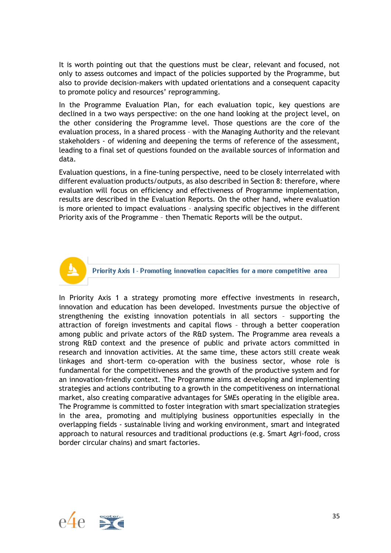It is worth pointing out that the questions must be clear, relevant and focused, not only to assess outcomes and impact of the policies supported by the Programme, but also to provide decision-makers with updated orientations and a consequent capacity to promote policy and resources' reprogramming.

In the Programme Evaluation Plan, for each evaluation topic, key questions are declined in a two ways perspective: on the one hand looking at the project level, on the other considering the Programme level. Those questions are the core of the evaluation process, in a shared process – with the Managing Authority and the relevant stakeholders - of widening and deepening the terms of reference of the assessment, leading to a final set of questions founded on the available sources of information and data.

Evaluation questions, in a fine-tuning perspective, need to be closely interrelated with different evaluation products/outputs, as also described in Section 8: therefore, where evaluation will focus on efficiency and effectiveness of Programme implementation, results are described in the Evaluation Reports. On the other hand, where evaluation is more oriented to impact evaluations – analysing specific objectives in the different Priority axis of the Programme – then Thematic Reports will be the output.



Priority Axis 1 - Promoting innovation capacities for a more competitive area

In Priority Axis 1 a strategy promoting more effective investments in research, innovation and education has been developed. Investments pursue the objective of strengthening the existing innovation potentials in all sectors – supporting the attraction of foreign investments and capital flows – through a better cooperation among public and private actors of the R&D system. The Programme area reveals a strong R&D context and the presence of public and private actors committed in research and innovation activities. At the same time, these actors still create weak linkages and short-term co-operation with the business sector, whose role is fundamental for the competitiveness and the growth of the productive system and for an innovation-friendly context. The Programme aims at developing and implementing strategies and actions contributing to a growth in the competitiveness on international market, also creating comparative advantages for SMEs operating in the eligible area. The Programme is committed to foster integration with smart specialization strategies in the area, promoting and multiplying business opportunities especially in the overlapping fields - sustainable living and working environment, smart and integrated approach to natural resources and traditional productions (e.g. Smart Agri-food, cross border circular chains) and smart factories.

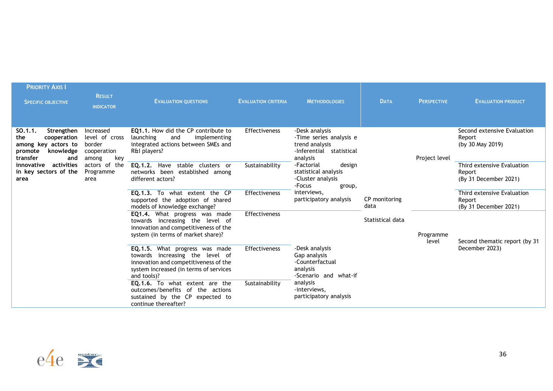| <b>PRIORITY AXIS I</b><br><b>SPECIFIC OBJECTIVE</b>                                                           | <b>RESULT</b><br><b>INDICATOR</b>                                    | <b>EVALUATION QUESTIONS</b>                                                                                                                                         | <b>EVALUATION CRITERIA</b> | <b>METHODOLOGIES</b>                                                                                | <b>DATA</b>           | <b>PERSPECTIVE</b> | <b>EVALUATION PRODUCT</b>                                     |
|---------------------------------------------------------------------------------------------------------------|----------------------------------------------------------------------|---------------------------------------------------------------------------------------------------------------------------------------------------------------------|----------------------------|-----------------------------------------------------------------------------------------------------|-----------------------|--------------------|---------------------------------------------------------------|
| Strengthen<br>SO.1.1.<br>the<br>cooperation<br>among key actors to<br>knowledge<br>promote<br>transfer<br>and | Increased<br>level of cross<br>border<br>cooperation<br>key<br>among | EQ1.1. How did the CP contribute to<br>launching<br>implementing<br>and<br>integrated actions between SMEs and<br>R&I players?                                      | Effectiveness              | -Desk analysis<br>-Time series analysis e<br>trend analysis<br>-Inferential statistical<br>analysis |                       | Project level      | Second extensive Evaluation<br>Report<br>(by 30 May 2019)     |
| activities<br>innovative<br>in key sectors of the<br>area                                                     | actors of the<br>Programme<br>area                                   | EQ.1.2. Have stable clusters or<br>networks been established among<br>different actors?                                                                             | Sustainability             | -Factorial<br>design<br>statistical analysis<br>-Cluster analysis<br>-Focus<br>group,               |                       |                    | Third extensive Evaluation<br>Report<br>(By 31 December 2021) |
|                                                                                                               |                                                                      | EQ.1.3. To what extent the CP<br>supported the adoption of shared<br>models of knowledge exchange?                                                                  | <b>Effectiveness</b>       | interviews,<br>participatory analysis                                                               | CP monitoring<br>data |                    | Third extensive Evaluation<br>Report<br>(By 31 December 2021) |
|                                                                                                               |                                                                      | <b>EQ1.4.</b> What progress was made<br>towards increasing the level of<br>innovation and competitiveness of the<br>system (in terms of market share)?              | <b>Effectiveness</b>       |                                                                                                     | Statistical data      | Programme<br>level | Second thematic report (by 31                                 |
|                                                                                                               |                                                                      | EQ.1.5. What progress was made<br>towards increasing the level of<br>innovation and competitiveness of the<br>system increased (in terms of services<br>and tools)? | <b>Effectiveness</b>       | -Desk analysis<br>Gap analysis<br>-Counterfactual<br>analysis<br>-Scenario and what-if              |                       |                    | December 2023)                                                |
|                                                                                                               |                                                                      | <b>EQ.1.6.</b> To what extent are the<br>outcomes/benefits of the actions<br>sustained by the CP expected to<br>continue thereafter?                                | Sustainability             | analysis<br>-interviews,<br>participatory analysis                                                  |                       |                    |                                                               |

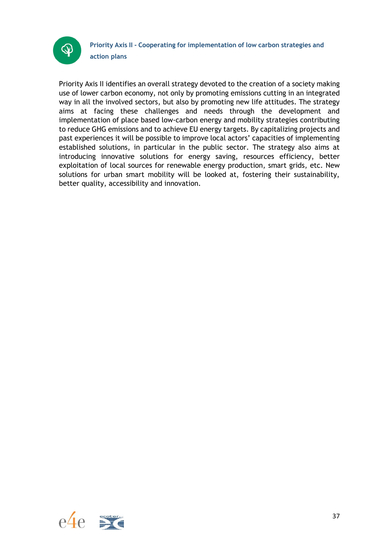

Priority Axis II identifies an overall strategy devoted to the creation of a society making use of lower carbon economy, not only by promoting emissions cutting in an integrated way in all the involved sectors, but also by promoting new life attitudes. The strategy aims at facing these challenges and needs through the development and implementation of place based low-carbon energy and mobility strategies contributing to reduce GHG emissions and to achieve EU energy targets. By capitalizing projects and past experiences it will be possible to improve local actors' capacities of implementing established solutions, in particular in the public sector. The strategy also aims at introducing innovative solutions for energy saving, resources efficiency, better exploitation of local sources for renewable energy production, smart grids, etc. New solutions for urban smart mobility will be looked at, fostering their sustainability, better quality, accessibility and innovation.

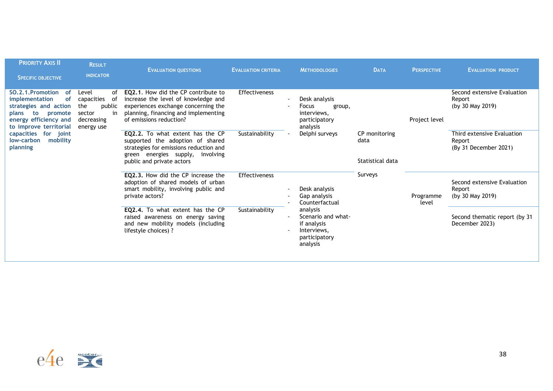| <b>PRIORITY AXIS II</b><br><b>SPECIFIC OBJECTIVE</b>                                                                                                                                                                       | <b>RESULT</b><br><b>INDICATOR</b>                                                            | <b>EVALUATION QUESTIONS</b>                                                                                                                                                          | <b>EVALUATION CRITERIA</b> | <b>METHODOLOGIES</b>                                                                      | <b>DATA</b>                               | <b>PERSPECTIVE</b> | <b>EVALUATION PRODUCT</b>                                     |
|----------------------------------------------------------------------------------------------------------------------------------------------------------------------------------------------------------------------------|----------------------------------------------------------------------------------------------|--------------------------------------------------------------------------------------------------------------------------------------------------------------------------------------|----------------------------|-------------------------------------------------------------------------------------------|-------------------------------------------|--------------------|---------------------------------------------------------------|
| SO.2.1. Promotion<br>of<br><b>of</b><br>implementation<br>strategies and action<br>to<br>promote<br>plans<br>energy efficiency and<br>to improve territorial<br>capacities for joint<br>low-carbon<br>mobility<br>planning | Level<br>of<br>capacities<br>of<br>the<br>public<br>sector<br>in<br>decreasing<br>energy use | EQ2.1. How did the CP contribute to<br>increase the level of knowledge and<br>experiences exchange concerning the<br>planning, financing and implementing<br>of emissions reduction? | Effectiveness              | Desk analysis<br>Focus<br>group,<br>interviews.<br>participatory<br>analysis              |                                           | Project level      | Second extensive Evaluation<br>Report<br>(by 30 May 2019)     |
|                                                                                                                                                                                                                            |                                                                                              | EQ2.2. To what extent has the CP<br>supported the adoption of shared<br>strategies for emissions reduction and<br>green energies supply,<br>involving<br>public and private actors   | Sustainability             | Delphi surveys                                                                            | CP monitoring<br>data<br>Statistical data |                    | Third extensive Evaluation<br>Report<br>(By 31 December 2021) |
|                                                                                                                                                                                                                            |                                                                                              | EQ2.3. How did the CP increase the<br>adoption of shared models of urban<br>smart mobility, involving public and<br>private actors?                                                  | <b>Effectiveness</b>       | Desk analysis<br>Gap analysis<br>Counterfactual                                           | Surveys                                   | Programme<br>level | Second extensive Evaluation<br>Report<br>(by 30 May 2019)     |
|                                                                                                                                                                                                                            |                                                                                              | EQ2.4. To what extent has the CP<br>raised awareness on energy saving<br>and new mobility models (including<br>lifestyle choices) ?                                                  | Sustainability             | analysis<br>Scenario and what-<br>if analysis<br>Interviews.<br>participatory<br>analysis |                                           |                    | Second thematic report (by 31<br>December 2023)               |

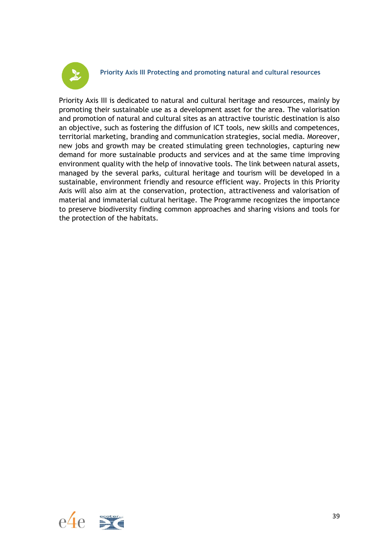

**Priority Axis III Protecting and promoting natural and cultural resources**

Priority Axis III is dedicated to natural and cultural heritage and resources, mainly by promoting their sustainable use as a development asset for the area. The valorisation and promotion of natural and cultural sites as an attractive touristic destination is also an objective, such as fostering the diffusion of ICT tools, new skills and competences, territorial marketing, branding and communication strategies, social media. Moreover, new jobs and growth may be created stimulating green technologies, capturing new demand for more sustainable products and services and at the same time improving environment quality with the help of innovative tools. The link between natural assets, managed by the several parks, cultural heritage and tourism will be developed in a sustainable, environment friendly and resource efficient way. Projects in this Priority Axis will also aim at the conservation, protection, attractiveness and valorisation of material and immaterial cultural heritage. The Programme recognizes the importance to preserve biodiversity finding common approaches and sharing visions and tools for the protection of the habitats.

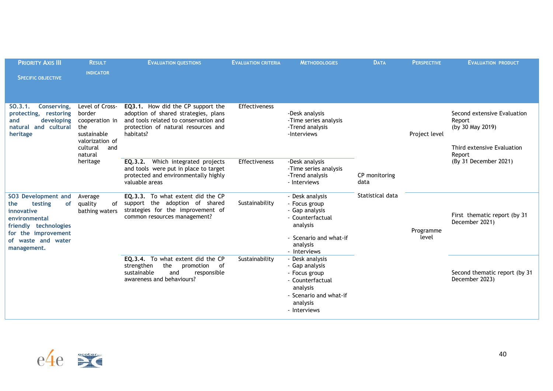| <b>PRIORITY AXIS III</b><br><b>SPECIFIC OBJECTIVE</b>                                                                                                                         | <b>RESULT</b><br><b>INDICATOR</b>                                                      | <b>EVALUATION QUESTIONS</b>                                                                                                                                            | <b>EVALUATION CRITERIA</b> | <b>METHODOLOGIES</b>                                                                                                                     | <b>DATA</b>           | <b>PERSPECTIVE</b> | <b>EVALUATION PRODUCT</b>                                                                         |
|-------------------------------------------------------------------------------------------------------------------------------------------------------------------------------|----------------------------------------------------------------------------------------|------------------------------------------------------------------------------------------------------------------------------------------------------------------------|----------------------------|------------------------------------------------------------------------------------------------------------------------------------------|-----------------------|--------------------|---------------------------------------------------------------------------------------------------|
| $SO.3.1$ .<br>Conserving,<br>border<br>protecting, restoring<br>developing<br>and<br>natural and cultural<br>the<br>heritage<br>natural                                       | Level of Cross-<br>cooperation in<br>sustainable<br>valorization of<br>cultural<br>and | EQ3.1. How did the CP support the<br>adoption of shared strategies, plans<br>and tools related to conservation and<br>protection of natural resources and<br>habitats? | Effectiveness              | -Desk analysis<br>-Time series analysis<br>-Trend analysis<br>-Interviews                                                                | CP monitoring<br>data | Project level      | Second extensive Evaluation<br>Report<br>(by 30 May 2019)<br>Third extensive Evaluation<br>Report |
|                                                                                                                                                                               | heritage                                                                               | Which integrated projects<br>EQ.3.2.<br>and tools were put in place to target<br>protected and environmentally highly<br>valuable areas                                | Effectiveness              | -Desk analysis<br>-Time series analysis<br>-Trend analysis<br>- Interviews                                                               |                       |                    | (By 31 December 2021)                                                                             |
| <b>SO3 Development and</b><br><b>of</b><br>testing<br>the<br>innovative<br>environmental<br>friendly technologies<br>for the improvement<br>of waste and water<br>management. | Average<br>quality<br>of<br>bathing waters                                             | EQ.3.3. To what extent did the CP<br>support the adoption of shared<br>strategies for the improvement of<br>common resources management?                               | Sustainability             | - Desk analysis<br>- Focus group<br>- Gap analysis<br>- Counterfactual<br>analysis<br>Scenario and what-if<br>analysis<br>- Interviews   | Statistical data      | Programme<br>level | First thematic report (by 31<br>December 2021)                                                    |
|                                                                                                                                                                               |                                                                                        | EQ.3.4. To what extent did the CP<br>strengthen<br>the<br>promotion<br>of<br>and<br>responsible<br>sustainable<br>awareness and behaviours?                            | Sustainability             | - Desk analysis<br>- Gap analysis<br>- Focus group<br>- Counterfactual<br>analysis<br>- Scenario and what-if<br>analysis<br>- Interviews |                       |                    | Second thematic report (by 31<br>December 2023)                                                   |

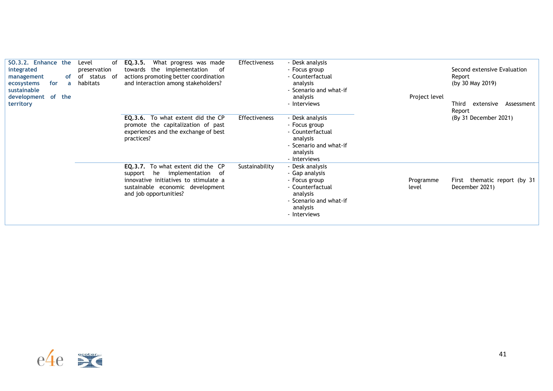| SO.3.2. Enhance the<br>integrated<br>management<br>ecosystems<br>for<br>sustainable<br>development of the<br>territory | of | Level<br>of<br>preservation<br>of status<br>of<br>a habitats | EQ.3.5.<br>What progress was made<br>towards the implementation<br>of<br>actions promoting better coordination<br>and interaction among stakeholders?                                 | <b>Effectiveness</b> | - Desk analysis<br>- Focus group<br>- Counterfactual<br>analysis<br>- Scenario and what-if<br>analysis<br>- Interviews                   | Project level      | Second extensive Evaluation<br>Report<br>(by 30 May 2019)<br>Third<br>extensive<br>Assessment<br>Report |
|------------------------------------------------------------------------------------------------------------------------|----|--------------------------------------------------------------|---------------------------------------------------------------------------------------------------------------------------------------------------------------------------------------|----------------------|------------------------------------------------------------------------------------------------------------------------------------------|--------------------|---------------------------------------------------------------------------------------------------------|
|                                                                                                                        |    |                                                              | <b>EQ.3.6.</b> To what extent did the CP<br>promote the capitalization of past<br>experiences and the exchange of best<br>practices?                                                  | <b>Effectiveness</b> | - Desk analysis<br>- Focus group<br>- Counterfactual<br>analysis<br>- Scenario and what-if<br>analysis<br>- Interviews                   |                    | (By 31 December 2021)                                                                                   |
|                                                                                                                        |    |                                                              | <b>EQ.3.7.</b> To what extent did the CP<br>implementation of<br>he<br>support<br>innovative initiatives to stimulate a<br>sustainable economic development<br>and job opportunities? | Sustainability       | - Desk analysis<br>- Gap analysis<br>- Focus group<br>- Counterfactual<br>analysis<br>- Scenario and what-if<br>analysis<br>- Interviews | Programme<br>level | First thematic report (by 31<br>December 2021)                                                          |

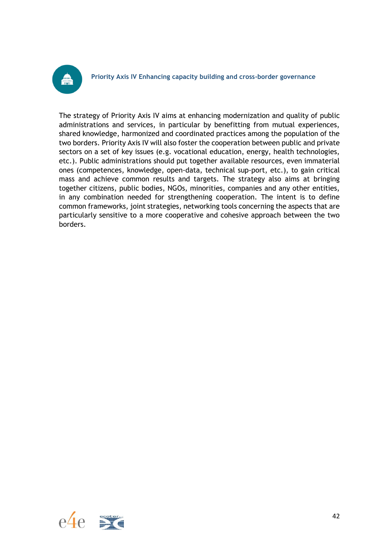

**Priority Axis IV Enhancing capacity building and cross-border governance**

The strategy of Priority Axis IV aims at enhancing modernization and quality of public administrations and services, in particular by benefitting from mutual experiences, shared knowledge, harmonized and coordinated practices among the population of the two borders. Priority Axis IV will also foster the cooperation between public and private sectors on a set of key issues (e.g. vocational education, energy, health technologies, etc.). Public administrations should put together available resources, even immaterial ones (competences, knowledge, open-data, technical sup-port, etc.), to gain critical mass and achieve common results and targets. The strategy also aims at bringing together citizens, public bodies, NGOs, minorities, companies and any other entities, in any combination needed for strengthening cooperation. The intent is to define common frameworks, joint strategies, networking tools concerning the aspects that are particularly sensitive to a more cooperative and cohesive approach between the two borders.

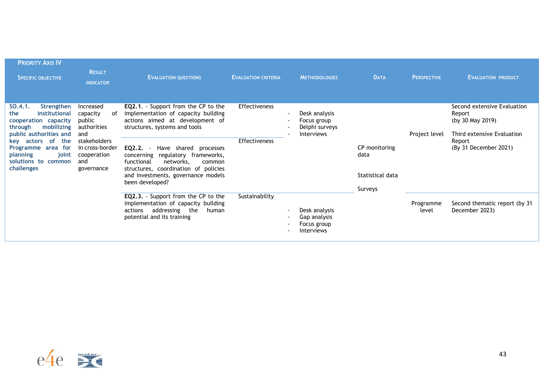| <b>PRIORITY AXIS IV</b><br><b>SPECIFIC OBJECTIVE</b>                                                                                                                                                                    | <b>RESULT</b><br><b>INDICATOR</b>                                                                                                        | <b>EVALUATION QUESTIONS</b>                                                                                                                                                                                                                                                                                                                                       | <b>EVALUATION CRITERIA</b>                   | <b>METHODOLOGIES</b>                                                                            | <b>DATA</b>                                          | <b>PERSPECTIVE</b> | <b>EVALUATION PRODUCT</b>                                                                                                  |
|-------------------------------------------------------------------------------------------------------------------------------------------------------------------------------------------------------------------------|------------------------------------------------------------------------------------------------------------------------------------------|-------------------------------------------------------------------------------------------------------------------------------------------------------------------------------------------------------------------------------------------------------------------------------------------------------------------------------------------------------------------|----------------------------------------------|-------------------------------------------------------------------------------------------------|------------------------------------------------------|--------------------|----------------------------------------------------------------------------------------------------------------------------|
| Strengthen<br>SO.4.1.<br>institutional<br>the<br>cooperation capacity<br>mobilizing<br>through<br>public authorities and<br>key actors of<br>the<br>Programme area for<br>planning<br>solutions to common<br>challenges | Increased<br>capacity<br>of<br>public<br>authorities<br>and<br>stakeholders<br>in cross-border<br>joint cooperation<br>and<br>governance | <b>EQ2.1.</b> Support from the CP to the<br>implementation of capacity building<br>actions aimed at development of<br>structures, systems and tools<br>EQ2.2.<br>Have shared processes<br>concerning regulatory frameworks,<br>functional<br>networks.<br>common<br>structures, coordination of policies<br>and investments, governance models<br>been developed? | <b>Effectiveness</b><br><b>Effectiveness</b> | Desk analysis<br>$\overline{\phantom{a}}$<br>Focus group<br>Delphi surveys<br><b>Interviews</b> | CP monitoring<br>data<br>Statistical data<br>Surveys | Project level      | Second extensive Evaluation<br>Report<br>(by 30 May 2019)<br>Third extensive Evaluation<br>Report<br>(By 31 December 2021) |
|                                                                                                                                                                                                                         |                                                                                                                                          | EQ2.3. - Support from the CP to the<br>implementation of capacity building<br>addressing the<br>actions<br>human<br>potential and its training                                                                                                                                                                                                                    | Sustainability                               | Desk analysis<br>Gap analysis<br>Focus group<br>Interviews                                      |                                                      | Programme<br>level | Second thematic report (by 31)<br>December 2023)                                                                           |

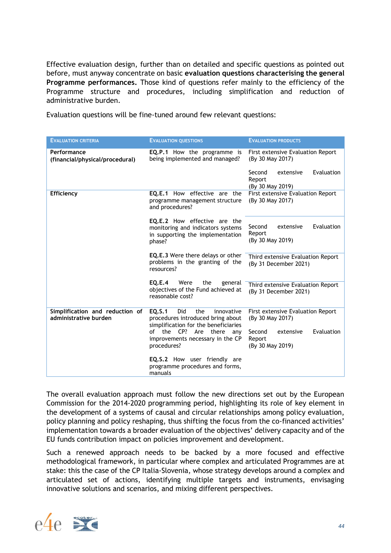Effective evaluation design, further than on detailed and specific questions as pointed out before, must anyway concentrate on basic **evaluation questions characterising the general Programme performances.** Those kind of questions refer mainly to the efficiency of the Programme structure and procedures, including simplification and reduction of administrative burden.

Evaluation questions will be fine-tuned around few relevant questions:

| <b>EVALUATION CRITERIA</b>                               | <b>EVALUATION QUESTIONS</b>                                                                                     | <b>EVALUATION PRODUCTS</b>                                      |  |  |
|----------------------------------------------------------|-----------------------------------------------------------------------------------------------------------------|-----------------------------------------------------------------|--|--|
| Performance<br>(financial/physical/procedural)           | <b>EQ.P.1</b> How the programme is<br>being implemented and managed?                                            | First extensive Evaluation Report<br>(By 30 May 2017)           |  |  |
|                                                          |                                                                                                                 | Second<br>Evaluation<br>extensive<br>Report<br>(By 30 May 2019) |  |  |
| Efficiency                                               | <b>EO.E.1</b> How effective are the<br>programme management structure<br>and procedures?                        | First extensive Evaluation Report<br>(By 30 May 2017)           |  |  |
|                                                          | EQ.E.2 How effective are the<br>monitoring and indicators systems<br>in supporting the implementation<br>phase? | Second<br>Evaluation<br>extensive<br>Report<br>(By 30 May 2019) |  |  |
|                                                          | <b>EQ.E.3</b> Were there delays or other<br>problems in the granting of the<br>resources?                       | Third extensive Evaluation Report<br>(By 31 December 2021)      |  |  |
|                                                          | <b>EQ.E.4</b><br>Were<br>the<br>general<br>objectives of the Fund achieved at<br>reasonable cost?               | Third extensive Evaluation Report<br>(By 31 December 2021)      |  |  |
| Simplification and reduction of<br>administrative burden | EQ.S.1<br>Did<br>the<br>innovative<br>procedures introduced bring about<br>simplification for the beneficiaries | First extensive Evaluation Report<br>(By 30 May 2017)           |  |  |
|                                                          | of the CP? Are<br>there<br>any<br>improvements necessary in the CP<br>procedures?                               | Second<br>Evaluation<br>extensive<br>Report<br>(By 30 May 2019) |  |  |
|                                                          | <b>EQ.S.2</b> How user friendly are<br>programme procedures and forms,<br>manuals                               |                                                                 |  |  |

The overall evaluation approach must follow the new directions set out by the European Commission for the 2014-2020 programming period, highlighting its role of key element in the development of a systems of causal and circular relationships among policy evaluation, policy planning and policy reshaping, thus shifting the focus from the co-financed activities' implementation towards a broader evaluation of the objectives' delivery capacity and of the EU funds contribution impact on policies improvement and development.

Such a renewed approach needs to be backed by a more focused and effective methodological framework, in particular where complex and articulated Programmes are at stake: this the case of the CP Italia-Slovenia, whose strategy develops around a complex and articulated set of actions, identifying multiple targets and instruments, envisaging innovative solutions and scenarios, and mixing different perspectives.

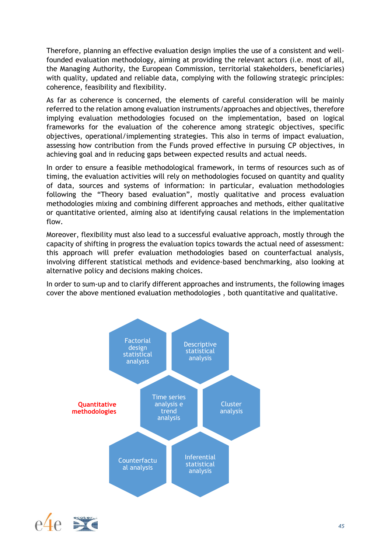Therefore, planning an effective evaluation design implies the use of a consistent and wellfounded evaluation methodology, aiming at providing the relevant actors (i.e. most of all, the Managing Authority, the European Commission, territorial stakeholders, beneficiaries) with quality, updated and reliable data, complying with the following strategic principles: coherence, feasibility and flexibility.

As far as coherence is concerned, the elements of careful consideration will be mainly referred to the relation among evaluation instruments/approaches and objectives, therefore implying evaluation methodologies focused on the implementation, based on logical frameworks for the evaluation of the coherence among strategic objectives, specific objectives, operational/implementing strategies. This also in terms of impact evaluation, assessing how contribution from the Funds proved effective in pursuing CP objectives, in achieving goal and in reducing gaps between expected results and actual needs.

In order to ensure a feasible methodological framework, in terms of resources such as of timing, the evaluation activities will rely on methodologies focused on quantity and quality of data, sources and systems of information: in particular, evaluation methodologies following the "Theory based evaluation", mostly qualitative and process evaluation methodologies mixing and combining different approaches and methods, either qualitative or quantitative oriented, aiming also at identifying causal relations in the implementation flow.

Moreover, flexibility must also lead to a successful evaluative approach, mostly through the capacity of shifting in progress the evaluation topics towards the actual need of assessment: this approach will prefer evaluation methodologies based on counterfactual analysis, involving different statistical methods and evidence-based benchmarking, also looking at alternative policy and decisions making choices.

In order to sum-up and to clarify different approaches and instruments, the following images cover the above mentioned evaluation methodologies , both quantitative and qualitative.